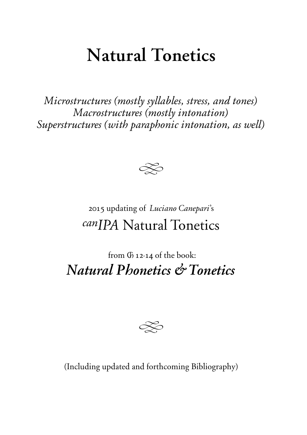# Natural Tonetics

*Microstructures (mostly syllables, stress, and tones) Macrostructures (mostly intonation) Superstructures (with paraphonic intonation, as well)*



# 2015 updating of *Luciano Canepari*'s *canIPA* Natural Tonetics

# from *é* 12-14 of the book: *Natural Phonetics " Tonetics*



(Including updated and forthcoming Bibliography)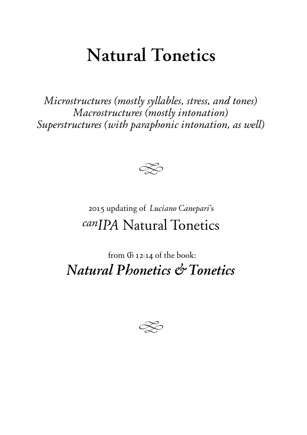# Natural Tonetics

*Microstructures (mostly syllables, stress, and tones) Macrostructures (mostly intonation) Superstructures (with paraphonic intonation, as well)*



# 2015 updating of *Luciano Canepari*'s *canIPA* Natural Tonetics

from *é* 12-14 of the book: *Natural Phonetics " Tonetics*

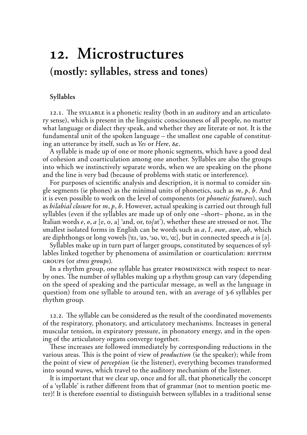# 12. Microstructures (mostly: syllables, stress and tones)

# Syllables

12.1. The syllable is a phonetic reality (both in an auditory and an articulatory sense), which is present in the linguistic consciousness of all people, no matter what language or dialect they speak, and whether they are literate or not. It is the fundamental unit of the spoken language – the smallest one capable of constituting an utterance by itself, such as *Yes* or *Here*, *Â*.

A syllable is made up of one or more phonic segments, which have a good deal of cohesion and coarticulation among one another. Syllables are also the groups into which we instinctively separate words, when we are speaking on the phone and the line is very bad (because of problems with static or interference).

For purposes of scientific analysis and description, it is normal to consider single segments (*¤* phones) as the minimal units of phonetics, such as *m*, *p*, *b*. And it is even possible to work on the level of components (or *phonetic features*), such as *bilabial closure* for *m*, *p*, *b*. However, actual speaking is carried out through full syllables (even if the syllables are made up of only one –short– phone, as in the Italian words *e*, *o*, *a* [e, o, a] 'and, or, to/at'), whether these are stressed or not. The smallest isolated forms in English can be words such as *a*, *I*, *owe*, *awe*, *ah*, which are diphthongs or long vowels  $[\text{m}, \text{m}, \text{m}, \text{m}, \text{m}],$  but in connected speech *a* is  $[\text{m}].$ 

Syllables make up in turn part of larger groups, constituted by sequences of syllables linked together by phenomena of assimilation or coarticulation: RHYTHM *groups* (or *stress groups*).

In a rhythm group, one syllable has greater *prominence* with respect to nearby ones. The number of syllables making up a rhythm group can vary (depending on the speed of speaking and the particular message, as well as the language in question) from one syllable to around ten, with an average of 3-6 syllables per rhythm group.

12.2. The syllable can be considered as the result of the coordinated movements of the respiratory, phonatory, and articulatory mechanisms. Increases in general muscular tension, in expiratory pressure, in phonatory energy, and in the opening of the articulatory organs converge together.

These increases are followed immediately by corresponding reductions in the various areas. This is the point of view of *production* (*ie* the speaker); while from the point of view of *perception* (*¤* the listener), everything becomes transformed into sound waves, which travel to the auditory mechanism of the listener.

It is important that we clear up, once and for all, that phonetically the concept of a 'syllable' is rather different from that of grammar (not to mention poetic meter)! It is therefore essential to distinguish between syllables in a traditional sense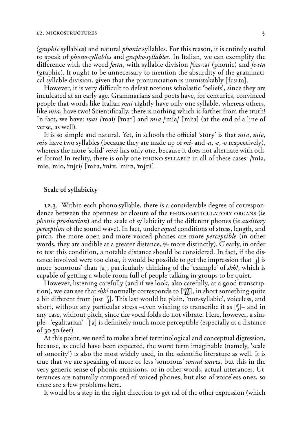*(graphic* syllables) and natural *phonic* syllables. For this reason, it is entirely useful to speak of *phono-syllables* and *grapho-syllables*. In Italian, we can exemplify the difference with the word *festa*, with syllable division / festa/ (phonic) and *fe-sta* (graphic). It ought to be unnecessary to mention the absurdity of the grammatical syllable division, given that the pronunciation is unmistakably **('fEs:-ta)**.

However, it is very difficult to defeat noxious scholastic 'beliefs', since they are inculcated at an early age. Grammarians and poets have, for centuries, convinced people that words like Italian *mai* rightly have only one syllable, whereas others, like *mia*, have two! Scientifically, there is nothing which is farther from the truth! In fact, we have: *mai* **/'mai/ ('ma;i)** and *mia* **/'mia/ ('mi;a)** (at the end of a line of verse, as well).

It is so simple and natural. Yet, in schools the official 'story' is that *mia*, *mie*, *mio* have two syllables (because they are made up of *mi*- and -*a*, -*e*, -*o* respectively), whereas the more 'solid' *miei* has only one, because it does not alternate with other forms! In reality, there is only one *phono-syllable* in all of these cases: **/'mia,** lmie, 'mio, 'mjεi/ ['mi<sup>,</sup>a, 'mi<sup>,</sup>ε, 'mi<sup>,</sup>σ, 'mjε<sup>,</sup>i].

## Scale of syllabicity

12.3. Within each phono-syllable, there is a considerable degree of correspondence between the openness or closure of the *phonoarticulatory organs* (*¤ phonic production*) and the scale of syllabicity of the different phones (*ie auditory perception* of the sound wave). In fact, under *equal* conditions of stress, length, and pitch, the more open and more voiced phones are more *perceptible* (in other words, they are audible at a greater distance,  $\frac{1}{2}$  more distinctly). Clearly, in order to test this condition, a notable distance should be considered. In fact, if the distance involved were too close, it would be possible to get the impression that **(S)** is more 'sonorous' than **(a)**, particularly thinking of the 'example' of *shh!*, which is capable of getting a whole room full of people talking in groups to be quiet.

However, listening carefully (and if we look, also carefully, at a good transcription), we can see that *shh!* normally corresponds to  $\lceil \frac{n}{n} \rceil$ , in short something quite a bit different from just [[]. This last would be plain, 'non-syllabic', voiceless, and short, without any particular stress –even wishing to transcribe it as ['<u></u>]– and in any case, without pitch, since the vocal folds do not vibrate. Here, however, a simple –'egalitarian'– **('a)** is definitely much more perceptible (especially at a distance of 30-50 feet).

At this point, we need to make a brief terminological and conceptual digression, because, as could have been expected, the worst term imaginable (namely, 'scale of sonority') is also the most widely used, in the scientific literature as well. It is true that we are speaking of more or less 'sonorous' *sound waves*, but this in the very generic sense of phonic emissions, or in other words, actual utterances. Utterances are naturally composed of voiced phones, but also of voiceless ones, so there are a few problems here.

It would be a step in the right direction to get rid of the other expression (which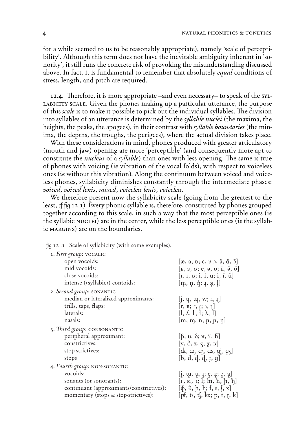for a while seemed to us to be reasonably appropriate), namely 'scale of perceptibility'. Although this term does not have the inevitable ambiguity inherent in 'sonority', it still runs the concrete risk of provoking the misunderstanding discussed above. In fact, it is fundamental to remember that absolutely *equal* conditions of stress, length, and pitch are required.

12.4. Therefore, it is more appropriate –and even necessary– to speak of the *syllabicity scale*. Given the phones making up a particular utterance, the purpose of this *scale* is to make it possible to pick out the individual syllables. The division into syllables of an utterance is determined by the *syllable nuclei* (the maxima, the heights, the peaks, the apogees), in their contrast with *syllable boundaries* (the minima, the depths, the troughs, the perigees), where the actual division takes place.

With these considerations in mind, phones produced with greater articulatory (mouth and jaw) opening are more 'perceptible' (and consequently more apt to constitute the *nucleus* of a *syllable*) than ones with less opening. The same is true of phones with voicing (*¤* vibration of the vocal folds), with respect to voiceless ones (*¤* without this vibration). Along the continuum between voiced and voiceless phones, syllabicity diminishes constantly through the intermediate phases: *voiced*, *voiced lenis*, *mixed*, *voiceless lenis*, *voiceless*.

We therefore present now the syllabicity scale (going from the greatest to the least, *c*f fig 12.1). Every phonic syllable is, therefore, constituted by phones grouped together according to this scale, in such a way that the most perceptible ones (*¤* the syllabic *nuclei*) are in the center, while the less perceptible ones (*¤* the syllabic *margins*) are on the boundaries.

*û* 12.1 Scale of syllabicity (with some examples).

| 1. First group: VOCALIC                  |                                                                                                                                                         |  |  |  |
|------------------------------------------|---------------------------------------------------------------------------------------------------------------------------------------------------------|--|--|--|
| open vocoids:                            | $[\mathfrak{X}, \mathfrak{a}, \mathfrak{b}; \mathfrak{e}, \mathfrak{e} \mathfrak{c}; \tilde{\mathfrak{a}}, \tilde{\mathfrak{a}}, \tilde{\mathfrak{c}}]$ |  |  |  |
| mid vocoids:                             | [E, 3, 0; e, 9, 0; E, 5, 0]                                                                                                                             |  |  |  |
| close vocoids:                           | $\left[ \text{I}, \text{I}, \text{U}; \text{i}, \text{i}, \text{U}; \text{I}, \text{I}, \text{U} \right]$                                               |  |  |  |
| intense («syllabic») contoids:           | [m, n, n; 1, n, 1]                                                                                                                                      |  |  |  |
| 2. Second group: SONANTIC                |                                                                                                                                                         |  |  |  |
| median or lateralized approximants:      | [j, q, u, w; I, I]                                                                                                                                      |  |  |  |
| trills, taps, flaps:                     | $[r, r; r, r; \eta]$                                                                                                                                    |  |  |  |
| laterals:                                | $[1, \lambda, 1, 1; \lambda, 1]$                                                                                                                        |  |  |  |
| nasals:                                  | [m, m, n, n, n, n]                                                                                                                                      |  |  |  |
| 3. Third group: CONSONANTIC              |                                                                                                                                                         |  |  |  |
| peripheral approximant:                  | $[\beta, \upsilon, \delta; \upsilon, \varsigma, \eta]$                                                                                                  |  |  |  |
| constrictives:                           | $[v, \delta, z, z, \gamma, \gamma, \kappa]$                                                                                                             |  |  |  |
| stop-strictives:                         | $[dz, d\zeta, d\zeta, d\zeta, d\zeta, d\zeta]$                                                                                                          |  |  |  |
| stops                                    | [b, d, d, d, j, g]                                                                                                                                      |  |  |  |
| 4. Fourth group: NON-SONANTIC            |                                                                                                                                                         |  |  |  |
| vocoids:                                 | $[i, \mu, \mu, i; \xi, \xi; \xi, \eta]$                                                                                                                 |  |  |  |
| sonants (or sonorants):                  | $[r, r_0, r; 1; m, h, r, \eta]$                                                                                                                         |  |  |  |
| continuant (approximants/constrictives): | $[\phi, \mathfrak{J}, \mathfrak{h}, \mathfrak{h}; \mathfrak{f}, \mathfrak{s}, \mathfrak{f}, \mathfrak{x}]$                                              |  |  |  |
| momentary (stops & stop-strictives):     | [pf, ts, tf, kx; p, t, t, k]                                                                                                                            |  |  |  |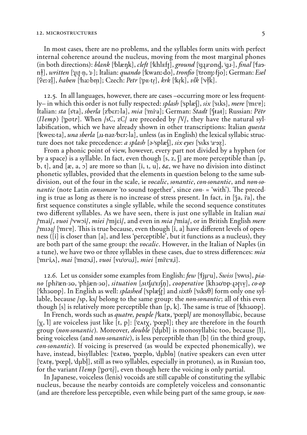#### 12. *microstructures* 5

In most cases, there are no problems, and the syllables form units with perfect internal coherence around the nucleus, moving from the most marginal phones  $(\text{in both directions}): \text{blank}[\text{blank}], \text{cleft}[\text{klnff}], \text{ground}[\text{qaround}, \text{q1}], \text{final}[\text{flag}]$ **n®)**, *written* **('>¤T-ó, '<-)**; Italian: *quando* **('kwan:-do)**, *tronfio* **('troM:-fjo)**; German: *Esel* **('öe:-zÍ)**, *haben* **('ha:-bõ)**; Czech: *Petr* **('p™-t**"**)**, *krk* **('k**"**k)**, *vlk* **('v***–***k)**.

12.5. In all languages, however, there are cases –occurring more or less frequently– in which this order is not fully respected: *splash* ['splæ{], *six* ['sɪks], *mere* ['mɪ'e]; Italian: *sta* [s'ta], *sberla* [z'bɛrː-la], *mia* ['mi<sup>,</sup>a]; German: *Stadt* ['(tat]; Russian: *Pëtr (∏emp*) ['pσtr]. When /sC, zC/ are preceded by /V/, they have the natural syllabification, which we have already shown in other transcriptions: Italian *questa* ['kwes:-ta], *una sberla* [u-naz-'bɛr:-la], unless (as in English) the lexical syllabic structure does not take precedence: *a splash* [ə-'splæ{], *six eyes* ['stks 'a\*oz].

From a phonic point of view, however, every part not divided by a hyphen (or by a space) is a syllable. In fact, even though **(s, z, S)** are more perceptible than **(p, b, t)**, and **(π, a, O)** are more so than **(i, ¤, u)**, *Â*, we have no division into distinct phonetic syllables, provided that the elements in question belong to the same subdivision, out of the four in the scale, *¤ vocalic*, *sonantic*, *con-sonantic*, and *non*-*sonantic* (note Latin *consonare* 'to sound together', since *con*- = 'with'). The preceding is true as long as there is no increase of stress present. In fact, in **('ja, i'a)**, the first sequence constitutes a single syllable, while the second sequence constitutes two different syllables. As we have seen, there is just one syllable in Italian *mai* **/'mai/**, *vuoi* **/'vwOi/**, *miei* **/'mjEi/**, and even in *mia* **/'mia/**, or in British English *mere /'mi*ai/ ['mire]. This is true because, even though [i, a] have different levels of openness (**(i)** is closer than **(a)**, and less 'perceptible', but it functions as a nucleus), they are both part of the same group: the *vocalic*. However, in the Italian of Naples (in a tune), we have two or three syllables in these cases, due to stress differences: *mia*  $[\text{mri}_\text{A}], \text{mai } [\text{mara}_\text{i}], \text{vuoi } [\text{vu} \text{vu}_\text{i}], \text{miei } [\text{mi} \epsilon \text{vE}_\text{i}].$ 

12.6. Let us consider some examples from English: *few* ['fjµ'u], *Swiss* ['swts], *pia* $no$  [phi'æn-30, 'phjæn-30], *situation* [stt[u'EI[n], *cooperative* [kh30'pp-1ətιv], *co-op* **['kh3opp]**. In English as well: *splashed* ['splæ{t] and *sixth* ['sιksθ] form only one syllable, because **/sp, ks/** belong to the same group: the *non-sonantic*; all of this even though [s] is relatively more perceptible than [p, k]. The same is true of [kh300p].

In French, words such as *quatre*, *peuple* /'katr, 'pœpl/ are monosyllabic, because  $[\chi, \iota]$  are voiceless just like  $[\iota, p]$ :  $[\text{caty}, \text{bep}]\$ ; they are therefore in the fourth group (*non-sonantic*). Moreover, *double* ['dµbl] is monosyllabic too, because [1], being voiceless (and *non-sonantic*), is less perceptible than **(b)** (in the third group, *con-sonantic*). If voicing is preserved (as would be expected phonemically), we have, instead, bisyllables: ['catuo, 'pœplo, 'dµblo] (native speakers can even utter ['catu, 'pœp], 'dµb]], still as two syllables, especially in protunes), as in Russian too, for the variant *∏emp* ['po<sup>+t</sup>i<sup>'</sup>], even though here the voicing is only partial.

In Japanese, voiceless (lenis) vocoids are still capable of constituting the syllabic nucleus, because the nearby contoids are completely voiceless and consonantic (and are therefore less perceptible, even while being part of the same group, *ie non*-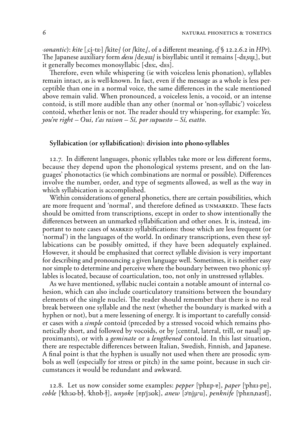$\cdot$ *sonantic*): *kite*  $\lceil$  *ci* $\cdot$ t $\rm{E}$  $\cdot$ */kite/* (or /kite*/*, of a different meaning,  $\rm{d}$  § 12.2.6.2 in *HPr*). *˛*e Japanese auxiliary form *desu* **/de=s***M***/** is bisyllabic until it remains **('d™às***¨***=)**, but it generally becomes monosyllabic  $[{}^{\cdot}$ des.,  ${}^{\cdot}$ des].

Therefore, even while whispering (*ie* with voiceless lenis phonation), syllables remain intact, as is well-known. In fact, even if the message as a whole is less perceptible than one in a normal voice, the same differences in the scale mentioned above remain valid. When pronounced, a voiceless lenis, a vocoid, or an intense contoid, is still more audible than any other (normal or 'non-syllabic') voiceless contoid, whether lenis or not. The reader should try whispering, for example: *Yes*, *you're*  $right - Oui$ ,  $t'$ *as raison* – S*i*, *por supuesto* – S*i*, *esatto*.

# Syllabication (or syllabification): division into phono-syllables

12.7. In different languages, phonic syllables take more or less different forms, because they depend upon the phonological systems present, and on the languages' phonotactics (*ie* which combinations are normal or possible). Differences involve the number, order, and type of segments allowed, as well as the way in which syllabication is accomplished.

Within considerations of general phonetics, there are certain possibilities, which are more frequent and 'normal', and therefore defined as *unmarked*. These facts should be omitted from transcriptions, except in order to show intentionally the differences between an unmarked syllabification and other ones. It is, instead, important to note cases of *marked* syllabifications: those which are less frequent (or 'normal') in the languages of the world. In ordinary transcriptions, even these syllabications can be possibly omitted, if they have been adequately explained. However, it should be emphasized that correct syllable division is very important for describing and pronouncing a given language well. Sometimes, it is neither easy nor simple to determine and perceive where the boundary between two phonic syllables is located, because of coarticulation, too, not only in unstressed syllables.

As we have mentioned, syllabic nuclei contain a notable amount of internal cohesion, which can also include coarticulatory transitions between the boundary elements of the single nuclei. The reader should remember that there is no real break between one syllable and the next (whether the boundary is marked with a hyphen or not), but a mere lessening of energy. It is important to carefully consider cases with a *simple* contoid (preceded by a stressed vocoid which remains phonetically short, and followed by vocoids, or by {central, lateral, trill, or nasal} approximants), or with a *geminate* or a *lengthened* contoid. In this last situation, there are respectable differences between Italian, Swedish, Finnish, and Japanese. A final point is that the hyphen is usually not used when there are prosodic symbols as well (especially for stress or pitch) in the same point, because in such circumstances it would be redundant and awkward.

12.8. Let us now consider some examples: *pepper* ['ph<sub>EP</sub>-e], *paper* ['phEI-pe], *coble* **('kh'¨-b®, 'khØb-®)**, *unyoke* **(å~'j'¨k)**, *anew* **(È'nj¯;u)**, *penknife* **('ph™n&naÙf)**,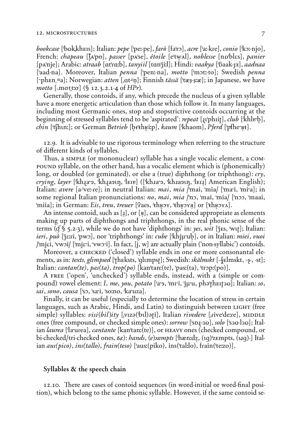*bookcase* **('b¨k&kh™Is)**; Italian: *pepe* **('pe:-pe)**, *farò* **(fa'rO)**, *acre* **('a:-kRe)**, *conio* **('kO:-njo)**, French: *chapeau* **(***/***Å'pP)**, *passer* **(pÅ'se)**, *étoile* **(e't***#***Ål)**, *noblesse* **(nÖ'blEs)**, *panier* **(pÅ'nje)**; Arabic: *atraab* **(Ät'RÄ:b)**, *tanyiil* **(tÄn'ji:l)**; Hindi: *vaakya* **('***6***aak-ãÉ)**, *aadnaa* ['aad-na]. Moreover, Italian *penna* ['pen:-na], *motto* ['mot:-to]; Swedish *penna* **(5ph™n***œ***na)**; Norwegian: *atten* **(èAt\_ tó)**; ≈nnish *tässä* **('tπß-ß:π)**; in Japanese, we have *motto*  $[\text{motto}](\S_{12,3,2,1-4}$  of *HPr*).

Generally, those contoids, if any, which precede the nucleus of a given syllable have a more energetic articulation than those which follow it. In many languages, including most Germanic ones, stop and stopstrictive contoids occurring at the beginning of stressed syllables tend to be 'aspirated': *repeat* [4t'ph1it], *club* ['khlɐ'b], *chin* **('ch¤n:)**; or German *Betrieb* **(Ê¢'4hüi:p)**, *kaum* **('khaom)**, *Pferd* **('∫he;…4)**.

12.9. It is advisable to use rigorous terminology when referring to the structure of different kinds of syllables.

Thus, a simple (or mononuclear) syllable has a single vocalic element, a *compound* syllable, on the other hand, has a vocalic element which is (phonemically) long, or doubled (or geminated), or else a (true) diphthong (or triphthong): *cry*, *crying*, *layer* ['kh<sub>J</sub>a·ə, 'kh<sub>J</sub>a·bu, 'lEIE] (['khJa·ə, 'khJa·bu, 'lEIJ] American English); Italian: *avere* [a-'ve:-re]; in neutral Italian: *mai*, *mia* /'mai, 'mia/ ['mai, 'mi<sup>,</sup>a]; in some regional Italian pronunciations: *no*, *mai*, *mia* **/'nO, 'mai, 'mia/ ('nOO, 'maai,**  $\text{[miia]}$ ; in German: *Eis*, *treu*, *treuer* [Paes,  $\text{[thxyx]}$ ,  $\text{[thxyx]}$ ] or  $\text{[thxyx]}$ .

An intense contoid, such as **(≥)**, or **(…)**, can be considered appropriate as elements making up parts of diphthongs and triphthongs, in the real phonic sense of the terms ( $f$ § 5.2-3), while we do not have 'diphthongs' in: *yes*, *wit* ['jEs, 'wt]; Italian: *ieri*, *può* ['jɛːri, 'pwɔ], nor 'triphthongs' in: *cube* ['khjµ'ub], or in Italian: *miei*, *vuoi* **/'mjEi, 'vwOi/ ('mjE;i, 'vwO;i)**. In fact, **(j, w)** are actually plain ('non-syllabic') contoids.

Moreover, a *checked* ('closed') syllable ends in one or more consonantal elements, as in: *texts, glimpsed* ['theksts, 'qlumpst]; Swedish: *skälmskt* [-{ $\text{ellmskt}, -s$ <sup>-</sup>, -st]; Italian: *cantan(te)*,  $pas(ta)$ ,  $trop(po)$  [kan'tan:(te), 'pas:(ta), 'trop:(po)].

A *free* ('open', 'unchecked') syllable ends, instead, with a (simple or compound) vowel element: *I, me, you, potato* ['a<sup>-</sup>, 'mii, 'jµ'u, phə'| hEI [30]; Italian: *so*, *sai*, *sono*, *causa* **('sO, 'sa;i, 'so:no, 'ka;uza)**.

Finally, it can be useful (especially to determine the location of stress in certain languages, such as Arabic, Hindi, and Latin) to distinguish between *LIGHT* (free simple) syllables: *visi*(*bil*)*ity* [*v*tzə('btl)əti], Italian *rivedere* [*five'dexe]*, MIDDLE ones (free compound, or checked simple ones): *sorrow* ['sDJ-30], *solo* ['s30-l30]; Italian *laurea* ['la:urea], *cantante* [kan'tan:(te)], or *HEAVY* ones (checked compound, or bi-checked/tri-checked ones, *Â*): *hands*, (*e*)*xempts* **('hπn:dΩ, {¤g}'z™mpts, {***û***g}-)** Italian *aus(pico)*, *ins(tallo)*, *frain(teso)* ['aus:(piko), ins('tal:lo), frain('te:zo)].

## Syllables  $\&$  the speech chain

12.10. There are cases of contoid sequences (in word-initial or word-final position), which belong to the same phonic syllable. However, if the same contoid se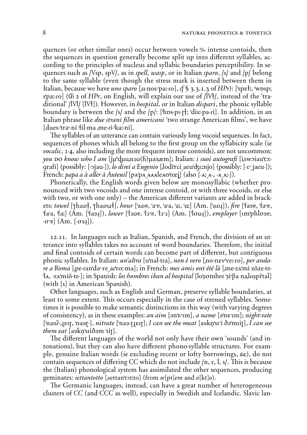quences (or other similar ones) occur between vowels  $\frac{1}{2}$  intense contoids, then the sequences in question generally become split up into different syllables, according to the principles of nucleus and syllabic boundaries perceptibility. In sequences such as /Vsp, spV/, as in *spell, wasp*, or in Italian *sparo*, /s/ and /p/ belong to the same syllable (even though the stress mark is inserted between them in Italian, because we have *uno sparo* [µ-nos-'pax-ro], of § 3.3.1.3 of *HPr*): ['spet:, 'wpsp; s'pa:-ro] ( $\Phi$  2 of HPr, on English, will explain our use of  $|N_t|$ , instead of the 'traditional' /IVI/ [IVI]). However, in *hospital*, or in Italian *dispari*, the phonic syllable boundary is between the /s/ and the /p/: ['hps-pi-t]; 'dis:-pa-ri]. In addition, in an Italian phrase like *due strani film americani* 'two strange American films', we have [dues-tra-ni fil-ma me-ri-ka-ni].

The syllables of an utterance can contain variously long vocoid sequences. In fact, sequences of phones which all belong to the first group on the syllabicity scale (ie *vocalic*, 1-4, also including the more frequent intense contoids), are not uncommon: *you* DO know who I am [jµ"dµu,n30(h)µa9, am]; Italian: *i suoi autografi* [i,swoiau'to:qrafi] (possibly: [-2] qrafi] (possibly: [-2] qrafi]), lo direi a Eugenio [[lodi'rsi aeu'd $\frac{1}{2}$ crio] (possibly: [- $\varepsilon$  jaeu-]); French: *papa a à aller à Auteuil* [pa'pa AAAleao'tœi] (also [-Aː A-, -A Aː-]).

Phonetically, the English words given below are monosyllabic (whether pronounced with two vocoids and one intense contoid, or with three vocoids, or else with two, or with one only) – the American different variants are added in brackets: *towel* ['thaot, 'thaout], *hour* ['aoe, 'are, 'ara, 'ar, 'ar] (Am. ['aoɪ]), *fire* ['faoe, 'fare, 'fara, 'fa:] (Am. ['fao1]), lower ['lsoe, 'ls'e, 'ls'3] (Am. ['loo1]), employer [im'phlooe,  $-\sigma$ 'e] (Am.  $[-\sigma$  $\sigma$ ]).

12.11. In languages such as Italian, Spanish, and French, the division of an utterance into syllables takes no account of word boundaries. Therefore, the initial and final contoids of certain words can become part of different, but contiguous phonic syllables. In Italian: *un'altra* [u'nal-tra], *non è vero* [no-nev've:-ro], *per andare a Roma* [pe-ran'da<sup>-</sup>re arto:-ma]; in French: *mes amis ont été là* [me-za'mi zõ<sub>i</sub>te-te-<sup>'</sup>lA, -zA'miõ-te-]; in Spanish: *los hombres iban al hospital* [lo'sσmbre 'si'βa na<sub>l</sub>lospi'tal] (with [s] in American Spanish).

Other languages, such as English and German, preserve syllable boundaries, at least to some extent. This occurs especially in the case of stressed syllables. Sometimes it is possible to make semantic distinctions in this way (with varying degrees of consistency), as in these examples: an aim [an'ETM], a name [a'nETM]; night-rate ['nao?-,JEIJ, 'naoJ-], nitrate ['nao-tJEIJ]; I can see the meat [aokn'sri  $\delta$ ə'miiJ], I can see *them eat* [aəkn sidəm | rif].

The different languages of the world not only have their own 'sounds' (and intonations), but they can also have different phono-syllable structures. For example, genuine Italian words (ie excluding recent or lofty borrowings,  $\&c$ ), do not contain sequences of differing CC which do not include  $/n$ , r, l, s. This is because the (Italian) phonological system has assimilated the other sequences, producing geminates: *settantotto* [settan'tot: to] (from  $se[pt]$ *em* and  $o[kt]$ *o*).

The Germanic languages, instead, can have a great number of heterogeneous clusters of CC (and CCC as well), especially in Swedish and Icelandic. Slavic lan-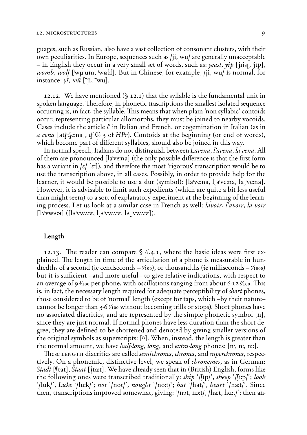guages, such as Russian, also have a vast collection of consonant clusters, with their own peculiarities. In Europe, sequences such as **/ji, wu/** are generally unacceptable  $-$  in English they occur in a very small set of words, such as: *yeast*, *yip* ['iist, 'jup], *womb, wolf* ['wµ'um, 'wolf]. But in Chinese, for example, */ji, wu/* is normal, for instance:  $y\overline{i}$ *, w* $\overline{i}$  [ $\overline{j}$ *i*,  $\overline{j}$ wu].

12.12. We have mentioned (§ 12.1) that the syllable is the fundamental unit in spoken language. Therefore, in phonetic trascriptions the smallest isolated sequence occurring is, in fact, the syllable. This means that when plain 'non-syllabic' contoids occur, representing particular allomorphs, they must be joined to nearby vocoids. Cases include the article *l'* in Italian and French, or cogemination in Italian (as in *a cena* **(ac'ce:na)**, *Ô é* 3 of *HPr*). Contoids at the beginning (or end of words), which become part of different syllables, should also be joined in this way.

In normal speech, Italians do not distinguish between *Lavena*, *l'avena*, *la vena*. All of them are pronounced [la've:na] (the only possible difference is that the first form has a variant in  $\kappa$  [ $\varepsilon$ ]), and therefore the most 'rigorous' transcription would be to use the transcription above, in all cases. Possibly, in order to provide help for the learner, it would be possible to use a slur (symbol): **(la've:na, l***∞***a've:na, la***∞***'ve:na)**. However, it is advisable to limit such expedients (which are quite a bit less useful than might seem) to a sort of explanatory experiment at the beginning of the learning process. Let us look at a similar case in French as well: *lavoir*, *l'avoir*, *la voir* **(lÅ'v***°***Å:˜)** (**(lÅ'v***°***Å:˜, l***∞***Å'v***°***Å:˜, lÅ***∞***'v***°***Å:˜)**).

# Length

12.13. The reader can compare § 6.4.1, where the basic ideas were first explained. The length in time of the articulation of a phone is measurable in hundredths of a second (*ie* centiseconds –  $\frac{5}{100}$ ), or thousandths (*ie* milliseconds –  $\frac{5}{1000}$ ) but it is sufficient –and more useful– to give relative indications, with respect to an average of 9  $\frac{5}{100}$  per phone, with oscillations ranging from about 6-12  $\frac{5}{100}$ . *This* is, in fact, the necessary length required for adequate perceptibility of *short* phones, those considered to be of 'normal' length (except for taps, which –by their nature– cannot be longer than 3-6  $\frac{5}{100}$  without becoming trills or stops). Short phones have no associated diacritics, and are represented by the simple phonetic symbol **(n)**, since they are just normal. If normal phones have less duration than the short degree, they are defined to be shortened and denoted by giving smaller versions of the original symbols as superscripts:  $[n]$ . When, instead, the length is greater than the normal amount, we have *half-long*, *long*, and *extra-long* phones: **(n;, n:, n::)**.

*˛*ese *length* diacritics are called *semichrones*, *chrones*, and *superchrones*, respectively. On a phonemic, distinctive level, we speak of *chronemes*, as in German: *Stadt* ['(tat], *Staat* ['(taːt]. We have already seen that in (British) English, forms like the following ones were transcribed traditionally: *ship* '**/Sip/**', *sheep* '**/Si:p/**'; *look* '**/luk/**', *Luke* '**/lu:k/**'; *not* '**/not/**', *nought* '**/no:t/**'; *hat* '**/hat/**', *heart* '**/ha:t/**'. Since then, transcriptions improved somewhat, giving: '/not, no:t/, /hæt, ha:t/'; then an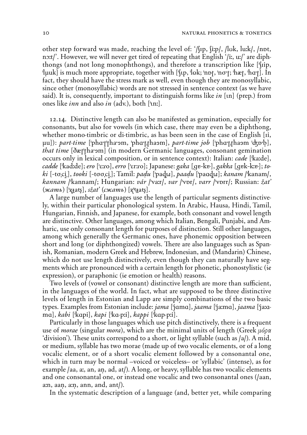other step forward was made, reaching the level of: ' $\int$ [ip, [i:p/, *luk, luk]*, /not, no:t/'. However, we will never get tired of repeating that English '/i:, u:/' are diphthongs (and not long monophthongs), and therefore a transcription like ['fiip, <sup>'</sup>lμuk] is much more appropriate, together with ['(μρ, 'lok; 'nɒt, 'nσ'τ; 'hæt, 'hɑ'τ]. In fact, they should have the stress mark as well, even though they are monosyllabic, since other (monosyllabic) words are not stressed in sentence context (as we have said). It is, consequently, important to distinguish forms like *in* [in] (prep.) from ones like *inn* and also *in* (adv.), both **('¤n:)**.

12.14. Distinctive length can also be manifested as gemination, especially for consonants, but also for vowels (in which case, there may even be a diphthong, whether mono-timbric or di-timbric, as has been seen in the case of English [ii, pu]): *part-time* ['phɑ<sup>+</sup>|'tha<sup>-</sup>>m, 'phɑ<sup>+</sup>|thaɔm], *part-time job* ['phɑ<sup>+</sup>|thaɔm 'ʤɒ<sup>-</sup>b̯], *that time* [ðæt'tha;om] (in modern Germanic languages, consonant gemination occurs only in lexical composition, or in sentence context): Italian: *cade* **('ka:de)**, *cadde* ['kad:de]; *ero* ['ɛːɾo], *erro* ['ɛrːɾo]; Japanese: *gaka* [qɐ-kɐ<sup>,</sup>], *gakka* [qɐk-kːɐ<sup>,</sup>]; toki [-toci], tooki [-tooci]; Tamil: padu ['padu], paadu ['paadu]; kanam /'kanam/, *kannam* **/'kannam/**; Hungarian: *vár* **/'va:r/**, *var* **/'vØr/**, *varr* **/'vØrr/**; Russian: *`at' [µatì]* **('W***F***a⁄)**, *s`at' [cµatì]* **(WèW***F***a⁄)**.

A large number of languages use the length of particular segments distinctively, within their particular phonological system. In Arabic, Hausa, Hindi, Tamil, Hungarian, Finnish, and Japanese, for example, both consonant and vowel length are distinctive. Other languages, among which Italian, Bengali, Punjabi, and Amharic, use only consonant length for purposes of distinction. Still other languages, among which generally the Germanic ones, have phonemic opposition between short and long (or diphthongized) vowels. There are also languages such as Spanish, Romanian, modern Greek and Hebrew, Indonesian, and (Mandarin) Chinese, which do not use length distinctively, even though they can naturally have segments which are pronounced with a certain length for phonetic, phonostylistic (*¤* expression), or paraphonic (*ie* emotion or health) reasons.

Two levels of (vowel or consonant) distinctive length are more than sufficient, in the languages of the world. In fact, what are supposed to be three distinctive levels of length in Estonian and Lapp are simply combinations of the two basic types. Examples from Estonian include: *jama* ['jɑmɑ], *jaama* ['jaːmɑ], *jaama* ['jaːɑ**mA)**, *kabi* **('kApi)**, *kapi* **('kA-p:i)**, *kappi* **('kAp-p:i)**.

Particularly in those languages which use pitch distinctively, there is a frequent use of *morae* (singular *mora*), which are the minimal units of length (Greek *mÒra* 'division'). These units correspond to a short, or light syllable (such as  $\vert a \vert$ ). A mid, or medium, syllable has two morae (made up of two vocalic elements, or of a long vocalic element, or of a short vocalic element followed by a consonantal one, which in turn may be normal –voiced or voiceless– or 'syllabic' (intense), as for example /aa, a:, an, an, ad, at/). A long, or heavy, syllable has two vocalic elements and one consonantal one, or instead one vocalic and two consonantal ones (**/aan,** a:n, aan, a:n, ann, and, ant/).

In the systematic description of a language (and, better yet, while comparing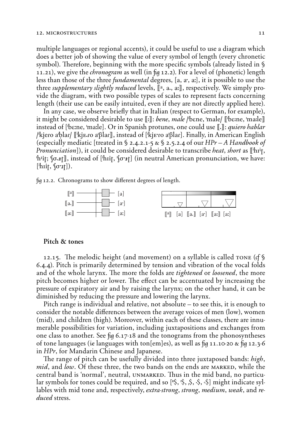multiple languages or regional accents), it could be useful to use a diagram which does a better job of showing the value of every symbol of length (every chronetic symbol). Therefore, beginning with the more specific symbols (already listed in § 11.21), we give the *chronogram* as well (in *û* 12.2). For a level of (phonetic) length less than those of the three *fundamental* degrees, **(a, a;, a:)**, it is possible to use the three *supplementary slightly reduced* levels, **((a, aò, aà))**, respectively. We simply provide the diagram, with two possible types of scales to represent facts concerning length (their use can be easily intuited, even if they are not directly applied here).

In any case, we observe briefly that in Italian (respect to German, for example), it might be considered desirable to use **((à))**: *bene˚ male* **/'bEne, 'male/ (('bEàne, 'maàle))** instead of **('bE:ne, 'ma:le)**. Or in Spanish protunes, one could use **((ò))**: *quiero hablar*  $\ell$ kjero a'blar/ [[kjɛ.ro a'βlar]], instead of ['kjɛ<sup>.</sup>ro a'βlar]. Finally, in American English (especially mediatic [treated in § 2.4.2.1-5  $\&$  § 2.5.2.4 of our *HPr* – A *Handbook of Pronunciation*]), it could be considered desirable to transcribe *heat*, *short* as [<sup>1</sup>h<sub>1</sub><sup>i</sup>], **'h**<sup>I</sup>it; ' $\sigma$ <sub>*i*</sub><sup>T</sup>], instead of ['hIit, ' $\sigma$ <sup>\*</sup><sub>i</sub>] (in neutral American pronunciation, we have:  $[$ <sup>thit, ' $\sigma$ <sup> $\pi$  $]$ </sup>).</sup>





# Pitch & tones

12.15. The melodic height (and movement) on a syllable is called TONE (*d*) 6.4.4). Pitch is primarily determined by tension and vibration of the vocal folds and of the whole larynx. The more the folds are *tightened* or *loosened*, the more pitch becomes higher or lower. The effect can be accentuated by increasing the pressure of expiratory air and by raising the larynx; on the other hand, it can be diminished by reducing the pressure and lowering the larynx.

Pitch range is individual and relative, not absolute – to see this, it is enough to consider the notable differences between the average voices of men (low), women (mid), and children (high). Moreover, within each of these classes, there are innumerable possibilities for variation, including juxtapositions and exchanges from one class to another. See *û* 6.17-18 and the tonograms from the phonosyntheses of tone languages (*¤* languages with ton{em}es), as well as *û* 11.10-20 " *û* 12.3-6 in *HPr*, for Mandarin Chinese and Japanese.

The range of pitch can be usefully divided into three juxtaposed bands: *high*, *mid*, and *low*. Of these three, the two bands on the ends are MARKED, while the central band is 'normal', neutral, *unmarked*. *˛*us in the mid band, no particular symbols for tones could be required, and so **("**à**, '**à**, &**à**, \_**à**, "**à**)** might indicate syllables with mid tone and, respectively, *extra-strong*, *strong*, *medium*, *weak*, and *reduced* stress.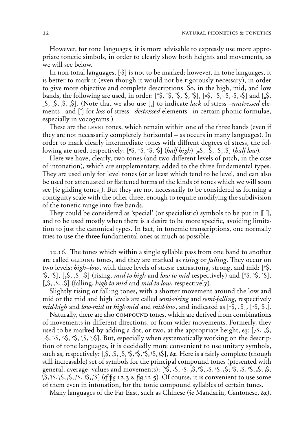However, for tone languages, it is more advisable to expressly use more appropriate tonetic simbols, in order to clearly show both heights and movements, as we will see below.

In non-tonal languages, **(\_**à**)** is not to be marked; however, in tone languages, it is better to mark it (even though it would not be rigorously necessary), in order to give more objective and complete descriptions. So, in the high, mid, and low bands, the following are used, in order:  $[\overline{\phantom{a}}, \overline{\phantom{a}}, \overline{\phantom{a}}, \overline{\phantom{a}}, \overline{\phantom{a}}, \overline{\phantom{a}}, \overline{\phantom{a}}, \overline{\phantom{a}}, \overline{\phantom{a}}, \overline{\phantom{a}}, \overline{\phantom{a}}, \overline{\phantom{a}}, \overline{\phantom{a}}, \overline{\phantom{a}}, \overline{\phantom{a}}, \overline{\phantom{a}}, \overline{\phantom{a}}, \overline{\phantom{a}}, \overline{\phantom{a}}, \overline{\phantom{a$ **ç**à**,** *œ*à**, 3**à**, '**à**)**. (Note that we also use **(')** to indicate *lack* of stress –*unstressed* elements– and **(»)** for *loss* of stress –*destressed* elements– in certain phonic formulae, especially in vocograms.)

These are the LEVEL tones, which remain within one of the three bands (even if they are not necessarily completely horizontal – as occurs in many languages). In order to mark clearly intermediate tones with diffrent degrees of stress, the following are used, respectively:  $[\frac{1}{2}, \frac{1}{2}, \frac{1}{2}, \frac{1}{2}]$  (*half-high*)  $[\frac{1}{2}, \frac{1}{2}, \frac{1}{2}, \frac{1}{2}]$  (*half-low*).

Here we have, clearly, two tones (and two different levels of pitch, in the case of intonation), which are supplementary, added to the three fundamental types. They are used only for level tones (or at least which tend to be level, and can also be used for attenuated or flattened forms of the kinds of tones which we will soon see {*¤* gliding tones}). But they are not necessarily to be considered as forming a contiguity scale with the other three, enough to require modifying the subdivision of the tonetic range into five bands.

They could be considered as 'special' (or specialistic) symbols to be put in  $\lbrack \cdot \rbrack$ , and to be used mostly when there is a desire to be more specific, avoiding limitation to just the canonical types. In fact, in tonemic transcriptions, one normally tries to use the three fundamental ones as much as possible.

12.16. The tones which within a single syllable pass from one band to another are called *GLIDING* tones, and they are marked as *rising* or *falling*. They occur on two levels: *high–low*, with three levels of stress: extrastrong, strong, and mid: [<sup>\*</sup>\$,  $\{S, S\}$ ,  $\{S, S, S\}$  (rising, *mid-to-high* and *low-to-mid* respectively) and  $[\$S, S, S]$ , **(à**à**, è**à**, é**à**)** (falling, *high-to-mid* and *mid-to-low*, respectively).

Slightly rising or falling tones, with a shorter movement around the low and mid or the mid and high levels are called *semi-rising* and *semi-falling*, respectively *mid-high* and *low-mid* or *high-mid* and *mid-low*, and indicated as **(ˆ**à**, ª**à**), (∏**à**,** à**π)**.

Naturally, there are also *compound* tones, which are derived from combinations of movements in different directions, or from wider movements. Formerly, they used to be marked by adding a dot, or two, at the appropriate height, *eq*:  $[\cdot, \xi, \zeta, \zeta]$ **ç2**à**, 52**à**, •2**à**, 61**à**, 63**à**, 632**à**)**. But, especially when systematically working on the description of tone languages, it is decidedly more convenient to use unitary symbols, such as, respectively: **(»**à**, "**à**, [**à**,3**à**, 2**à**, 1**à**, 7**à**, ]**à**)**, *Â*. Here is a fairly complete (though still increasable) set of symbols for the principal compound tones (presented with general, average, values and movements): [ $\S$ ,  $\S$ ,  $\S$ ,  $\S$ ,  $\S$ ,  $\S$ ,  $\S$ ,  $\S$ ,  $\S$ ,  $\S$ ,  $\S$ ,  $\S$ ,  $\S$ ,  $\S$ ,  $\S$ ,  $\S$ ,  $\S$ ,  $\S$ ,  $\S$ ,  $\S$ ,  $\S$ ,  $\S$ ,  $\S$ ,  $\S$ ,  $\S$ ,  $\S$ ,  $\S$ ,  $\S$ ,  $\S$ ,  $\S$ , **]**à**, 9**à**, \_**à**, 8**à**,** à**, Ô**à**, —**à**)** (*Ô û* 12.3 " *û* 12.5). Of course, it is convenient to use some of them even in intonation, for the tonic compound syllables of certain tunes.

Many languages of the Far East, such as Chinese (*ie* Mandarin, Cantonese, &c),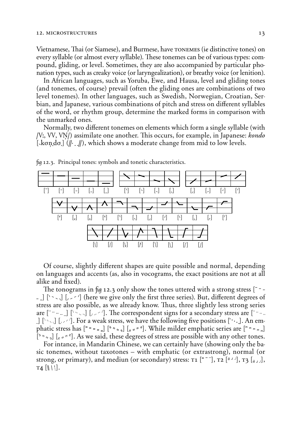cetnamese, *˛*ai (or Siamese), and Burmese, have *tonemes*(*¤* distinctive tones) on every syllable (or almost every syllable). These tonemes can be of various types: compound, gliding, or level. Sometimes, they are also accompanied by particular phonation types, such as creaky voice (or laryngealization), or breathy voice (or lenition).

In African languages, such as Yoruba, Ewe, and Hausa, level and gliding tones (and tonemes, of course) prevail (often the gliding ones are combinations of two level tonemes). In other languages, such as Swedish, Norwegian, Croatian, Serbian, and Japanese, various combinations of pitch and stress on different syllables of the word, or rhythm group, determine the marked forms in comparison with the unmarked ones.

Normally, two different tonemes on elements which form a single syllable (with *(V*:, *VV*, *VN/)* assimilate one another. This occurs, for example, in Japanese: *kondo* **(πkøó3dø=) {//2 3 3//}**, which shows a moderate change from mid to low levels.



*û* 12.3. Principal tones: symbols and tonetic characteristics.

Of course, slightly different shapes are quite possible and normal, depending on languages and accents (as, also in vocograms, the exact positions are not at all alike and fixed).

The tonograms in *fig* 12.3 only show the tones uttered with a strong stress [<sup>--</sup> **∫** ∠ ∑ [∠ ∠ <sup>√</sup> (here we give only the first three series). But, different degrees of stress are also possible, as we already know. Thus, three slightly less strong series are  $\begin{bmatrix} 1 & -1 & 0 \\ 0 & -1 & 0 \\ 0 & -1 & 0 \end{bmatrix}$  [*P*  $\cdot$  *Z*, *Z*]. The correspondent signs for a secondary stress are  $\begin{bmatrix} 1 & -1 & 0 \\ 0 & -1 & 0 \\ 0 & -1 & 0 \end{bmatrix}$ *q***) (***Z Ë Ω z***) (***e ™ È E***)**. For a weak stress, we have the following five positions **(***T Ï ˛ † t***)**. An emphatic stress has  $[{}^{\equiv} = {}_{\equiv}$ ]  $[{}^{\backprime} \circ \circ \circ]$  [<sub>*u*</sub>  $\leq$  "]. While milder emphatic series are  $[{}^{\equiv} = {}_{\equiv}$   $]$ [<sup>2</sup>  $\cdot \cdot \cdot$ <sub>2</sub>] [ $\cdot \cdot \cdot$ <sup>*i*</sup>]. As we said, these degrees of stress are possible with any other tones.

For intance, in Mandarin Chinese, we can certainly have (showing only the basic tonemes, without taxotones – with emphatic (or extrastrong), normal (or strong, or primary), and mediun (or secondary) stress:  $T1$   $\begin{bmatrix} - & - \\ 1 & 0 \end{bmatrix}$ ,  $T2$   $\begin{bmatrix} 4 & 7 \\ 7 & 1 \end{bmatrix}$ ,  $T3$   $\begin{bmatrix} 1 & 7 \\ 1 & 1 \end{bmatrix}$ ,  $T4$   $\left[\| \setminus \right]$ .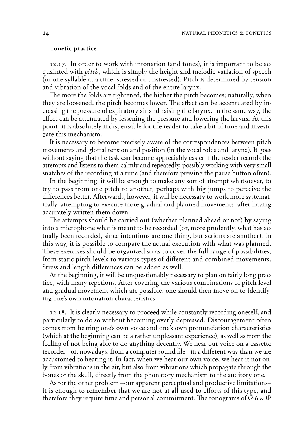# Tonetic practice

12.17. In order to work with intonation (and tones), it is important to be acquainted with *pitch*, which is simply the height and melodic variation of speech (in one syllable at a time, stressed or unstressed). Pitch is determined by tension and vibration of the vocal folds and of the entire larynx.

The more the folds are tightened, the higher the pitch becomes; naturally, when they are loosened, the pitch becomes lower. The effect can be accentuated by increasing the pressure of expiratory air and raising the larynx. In the same way, the effect can be attenuated by lessening the pressure and lowering the larynx. At this point, it is absolutely indispensable for the reader to take a bit of time and investigate this mechanism.

It is necessary to become precisely aware of the correspondences between pitch movements and glottal tension and position (in the vocal folds and larynx). It goes without saying that the task can become appreciably easier if the reader records the attempts and listens to them calmly and repeatedly, possibly working with very small snatches of the recording at a time (and therefore pressing the pause button often).

In the beginning, it will be enough to make any sort of attempt whatsoever, to try to pass from one pitch to another, perhaps with big jumps to perceive the differences better. Afterwards, however, it will be necessary to work more systematically, attempting to execute more gradual and planned movements, after having accurately written them down.

The attempts should be carried out (whether planned ahead or not) by saying into a microphone what is meant to be recorded (or, more prudently, what has actually been recorded, since intentions are one thing, but actions are another). In this way, it is possible to compare the actual execution with what was planned. These exercises should be organized so as to cover the full range of possibilities, from static pitch levels to various types of different and combined movements. Stress and length differences can be added as well.

At the beginning, it will be unquestionably necessary to plan on fairly long practice, with many repetions. After covering the various combinations of pitch level and gradual movement which are possible, one should then move on to identifying one's own intonation characteristics.

12.18. It is clearly necessary to proceed while constantly recording oneself, and particularly to do so without becoming overly depressed. Discouragement often comes from hearing one's own voice and one's own pronunciation characteristics (which at the beginning can be a rather unpleasant experience), as well as from the feeling of not being able to do anything decently. We hear our voice on a cassette recorder –or, nowadays, from a computer sound file– in a different way than we are accustomed to hearing it. In fact, when we hear our own voice, we hear it not only from vibrations in the air, but also from vibrations which propagate through the bones of the skull, directly from the phonatory mechanism to the auditory one.

As for the other problem –our apparent perceptual and productive limitations– it is enough to remember that we are not at all used to efforts of this type, and therefore they require time and personal commitment. The tonograms of  $\Phi$  6  $\alpha$   $\Phi$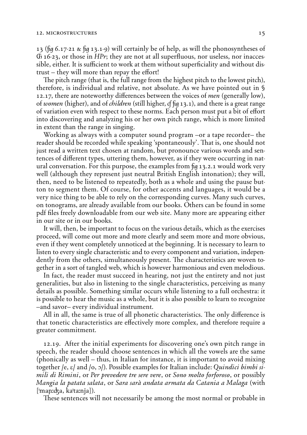13 (*û* 6.17-21 " *û* 13.1-9) will certainly be of help, as will the phonosyntheses of *é* 16-23, or those in *HPr*; they are not at all superfluous, nor useless, nor inaccessible, either. It is sufficient to work at them without superficiality and without distrust – they will more than repay the effort!

The pitch range (that is, the full range from the highest pitch to the lowest pitch), therefore, is individual and relative, not absolute. As we have pointed out in § 12.17, there are noteworthy differences between the voices of *men* (generally low), of *women* (higher), and of *children* (still higher, *Ô û* 13.1), and there is a great range of variation even with respect to these norms. Each person must put a bit of effort into discovering and analyzing his or her own pitch range, which is more limited in extent than the range in singing.

Working as always with a computer sound program –or a tape recorder– the reader should be recorded while speaking 'spontaneously'. That is, one should not just read a written text chosen at random, but pronounce various words and sentences of different types, uttering them, however, as if they were occurring in natural conversation. For this purpose, the examples from *û* 13.2.1 would work very well (although they represent just neutral British English intonation); they will, then, need to be listened to repeatedly, both as a whole and using the pause button to segment them. Of course, for other accents and languages, it would be a very nice thing to be able to rely on the corresponding curves. Many such curves, on tonograms, are already available from our books. Others can be found in some pdf files freely downloadable from our web site. Many more are appearing either in our site or in our books.

It will, then, be important to focus on the various details, which as the exercises proceed, will come out more and more clearly and seem more and more obvious, even if they went completely unnoticed at the beginning. It is necessary to learn to listen to every single characteristic and to every component and variation, independently from the others, simultaneously present. The characteristics are woven together in a sort of tangled web, which is however harmonious and even melodious.

In fact, the reader must succeed in hearing, not just the entirety and not just generalities, but also in listening to the single characteristics, perceiving as many details as possible. Something similar occurs while listening to a full orchestra: it is possible to hear the music as a whole, but it is also possible to learn to recognize –and savor– every individual instrument.

All in all, the same is true of all phonetic characteristics. The only difference is that tonetic characteristics are effectively more complex, and therefore require a greater commitment.

12.19. After the initial experiments for discovering one's own pitch range in speech, the reader should choose sentences in which all the vowels are the same (phonically as well – thus, in Italian for instance, it is important to avoid mixing together **/e, E/** and **/o, O/**). Possible examples for Italian include: *Quindici bimbi simili di Rimini*, or *Per prevedere tre sere vere*, or *Sono molto forforoso*, or possibly *Mangia la patata salata*, or *Sara sarà andata armata da Catania a Malaga* (with ['man:<sub>da</sub>, ka'ta:nja]).

These sentences will not necessarily be among the most normal or probable in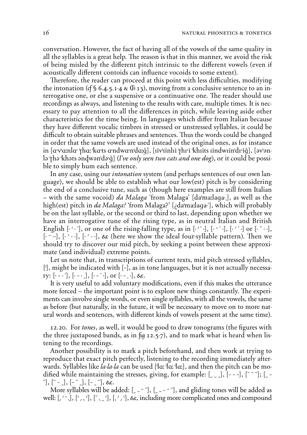conversation. However, the fact of having all of the vowels of the same quality in all the syllables is a great help. The reason is that in this manner, we avoid the risk of being misled by the different pitch intrinsic to the different vowels (even if acoustically different contoids can influence vocoids to some extent).

Therefore, the reader can proceed at this point with less difficulties, modifying the intonation (cf  $\S$  6.4.5.1-4 &  $\G$  13), moving from a conclusive sentence to an interrogative one, or else a suspensive or a continuative one. The reader should use recordings as always, and listening to the results with care, multiple times. It is necessary to pay attention to all the differences in pitch, while leaving aside other characteristics for the time being. In languages which differ from Italian because they have different vocalic timbres in stressed or unstressed syllables, it could be difficult to obtain suitable phrases and sentences. Thus the words could be changed in order that the same vowels are used instead of the original ones, as for instance in [av'a:nla 'tha: 'kats andwan'da:q̃], [iiv'iinlii 'thri 'khiits iindwiin'driq̃], [əvˈənla tha khats andwan'da q (*I've only seen two cats and one dog*), or it could be possible to simply hum each sentence.

In any case, using our *intonation* system (and perhaps sentences of our own language), we should be able to establish what our low(est) pitch is by considering the end of a conclusive tune, such as (though here examples are still from Italian – with the same vocoid) *da Malaga* 'from Malaga' [da'maːlaqa·], as well as the high(est) pitch in *da Malaga?* 'from Malaga?' [;da'maːlaqa·], which will probably be on the last syllable, or the second or third to last, depending upon whether we have an interrogative tune of the rising type, as in neutral Italian and British English [ $\cdot \cdot \cdot$ ], or one of the rising-falling type, as in [ $\cdot \cdot \cdot$ ], [ $\cdot \cdot \cdot$ ], [ $\cdot \cdot \cdot \cdot$ ] or [ $\cdot \cdot \cdot \cdot$ ],  $[\cdot \cdot \cdot \cdot]$ ,  $[\cdot \cdot \cdot \cdot]$ ,  $[\cdot \cdot \cdot]$ , &c (here we show the ideal four-syllable pattern). Then we should try to discover our mid pitch, by seeking a point between these approximate (and individual) extreme points.

Let us note that, in transcriptions of current texts, mid pitch stressed syllables, [1], might be indicated with [-], as in tone languages, but it is not actually necessary:  $\left[\cdot-\cdot\right]$ ,  $\left[\cdot-\cdot\right]$ ,  $\left[\cdot-\cdot\right]$ , or  $\left[\cdot-\cdot\right]$ , &c.

It is very useful to add voluntary modifications, even if this makes the utterance more forced – the important point is to explore new things constantly. The experiments can involve single words, or even single syllables, with all the vowels, the same as before (but naturally, in the future, it will be necessary to move on to more natural words and sentences, with different kinds of vowels present at the same time).

12.20. For *tones*, as well, it would be good to draw tonograms (the figures with the three juxtaposed bands, as in  $f\left(\frac{q}{2}, \frac{5}{7}\right)$ , and to mark what is heard when listening to the recordings.

Another possibility is to mark a pitch beforehand, and then work at trying to reproduce that exact pitch perfectly, listening to the recording immediately afterwards. Syllables like *la-la-la* can be used ['lɑː 'lɑː ], and then the pitch can be modified while maintaining the stresses, giving, for example:  $[-, \_]$ ,  $[-, \_]$ ,  $[-, \_]$ ;  $[-, \_]$  $^{-}$ ], [<sup>-</sup> - \_], [- <sup>-</sup> \_], [- \_ <sup>-</sup>], &c.

More syllables will be added:  $[- -1]$ ,  $[- -1]$ , and gliding tones will be added as well: [, ' \, ], [ \, \, '], [ \, \_ '], [, ', \], &c, including more complicated ones and compound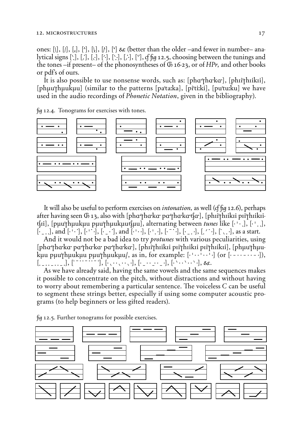#### 12. *microstructures* 17

ones: **(7), (8), (»), (2), (]), (), (1)** *Â* (better than the older –and fewer in number– analytical signs [\], [,], [,], [\], [\], [\], [,], [\], cf fig 12.5, choosing between the tunings and the tones –if present– of the phonosyntheses of  $\mathcal G_1$  16-23, or of *HPr*, and other books or pdf's of ours.

It is also possible to use nonsense words, such as: [pha<sup>+</sup>tha·ka<sup>-</sup>], [phi<sup>+</sup>thikii], [phµu'thµukµu] (similar to the patterns [pa'ta:ka], [pi'ti:ki], [pu'tu:ku] we have used in the audio recordings of *Phonetic Notation*, given in the bibliography).



*û* 12.4. Tonograms for exercises with tones.

It will also be useful to perform exercises on *intonation*, as well (*c*f *fig* 12.6), perhaps after having seen  $\Phi$  13, also with [phɑ<sup>.</sup>thɑ<sup>.</sup>kɑ<sup>.</sup>pɑ<sup>.</sup>thɑ<sup>.</sup>kɑ<sup>.t</sup>ʃɑ<sup>.</sup>], [phɪi<sup></sup>thɪikɪi pɪiˈthɪikɪi- $\text{tr}[i]$ , [pµu'thµukµu pµu'thµukµut $\text{tr}[i]$ , alternating between *tunes* like  $\text{tr}[i \cdot j]$ ,  $\text{tr}[i \cdot j]$ , **(2 ç 3 3)**, and **(2 ' 2 1), (2 ' 1 2)**, **(2 ç 2 1)**, and **(2 ' 2 2), (2 ' 3 2), (2 5 1 2)**, **(2 ç 3 2), (3•1 2), (1 è 3 2)**, as a start.

And it would not be a bad idea to try *protunes* with various peculiarities, using [pha<sup>+</sup>tha<sup>-</sup>ka; pa<sup>+</sup>tha<sup>-</sup>ka; pa<sup>+</sup>tha<sup>-</sup>ka;], [phi<sup>+</sup>thikii pii<sup>+</sup>thikii pii<sup>+</sup>thikii], [phµu<sup>+</sup>thµu $k$ uu p $\mu$ u'th $\mu$ uk $\mu$ u p $\mu$ u'th $\mu$ uk $\mu$ u/, as in, for example:  $[\cdot \cdot \cdot \cdot \cdot \cdot \cdot]$  (or  $[\cdot \cdot \cdot \cdot \cdot \cdot \cdot \cdot \cdot \cdot]$ ),  $[$ .... $]$ , $[$ , $]$ , $[$ <sup>- $]$ , $[$  $]$ , $[$  $\cdots$  $\cdots$  $]$ ,  $[$  $]$ , $[$  $\cdots$  $\cdots$  $]$ ,  $\&$  $\&$ .</sup>

As we have already said, having the same vowels and the same sequences makes it possible to concentrate on the pitch, without distractions and without having to worry about remembering a particular sentence. The voiceless C can be useful to segment these strings better, especially if using some computer acoustic programs (to help beginners or less gifted readers).

*û* 12.5. Further tonograms for possible exercises.

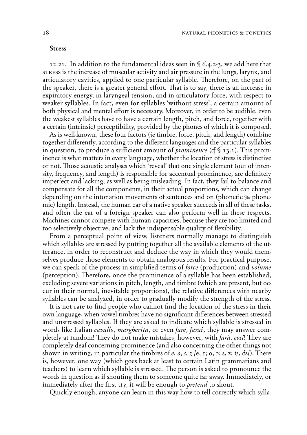# Stress

12.21. In addition to the fundamental ideas seen in § 6.4.2-3, we add here that *stress* is the increase of muscular activity and air pressure in the lungs, larynx, and articulatory cavities, applied to one particular syllable. Therefore, on the part of the speaker, there is a greater general effort. That is to say, there is an increase in expiratory energy, in laryngeal tension, and in articulatory force, with respect to weaker syllables. In fact, even for syllables 'without stress', a certain amount of both physical and mental effort is necessary. Moreover, in order to be audible, even the weakest syllables have to have a certain length, pitch, and force, together with a certain (intrinsic) perceptibility, provided by the phones of which it is composed.

As is well-known, these four factors (*¤* timbre, force, pitch, and length) combine together differently, according to the different languages and the particular syllables in question, to produce a sufficient amount of *prominence* ( $f \$  13.1). This prominence is what matters in every language, whether the location of stress is distinctive or not. Those acoustic analyses which 'reveal' that one single element (out of intensity, frequency, and length) is responsible for accentual prominence, are definitely imperfect and lacking, as well as being misleading. In fact, they fail to balance and compensate for all the components, in their actual proportions, which can change depending on the intonation movements of sentences and on (phonetic  $\mathcal{C}_r$  phonemic) length. Instead, the human ear of a native speaker succeeds in all of these tasks, and often the ear of a foreign speaker can also perform well in these respects. Machines cannot compete with human capacities, because they are too limited and too selectively objective, and lack the indispensable quality of flexibility.

From a perceptual point of view, listeners normally manage to distinguish which syllables are stressed by putting together all the available elements of the utterance, in order to reconstruct and deduce the way in which they would themselves produce those elements to obtain analogous results. For practical purpose, we can speak of the process in simplified terms of *force* (production) and *volume* (perception). Therefore, once the prominence of a syllable has been established, excluding severe variations in pitch, length, and timbre (which are present, but occur in their normal, inevitable proportions), the relative differences with nearby syllables can be analyzed, in order to gradually modify the strength of the stress.

It is not rare to find people who cannot find the location of the stress in their own language, when vowel timbres have no significant differences between stressed and unstressed syllables. If they are asked to indicate which syllable is stressed in words like Italian *cavallo*, *margherita*, or even *fare*, *farai*, they may answer completely at random! They do not make mistakes, however, with *farà*, *cosi*! They are completely deaf concerning prominence (and also concerning the other things not shown in writing, in particular the timbres of  $e, o, s, z / e, \varepsilon$ ; o,  $\infty$ ; s, z; ts,  $dz$ ). There is, however, one way (which goes back at least to certain Latin grammarians and teachers) to learn which syllable is stressed. The person is asked to pronounce the words in question as if shouting them to someone quite far away. Immediately, or immediately after the first try, it will be enough to *pretend* to shout.

Quickly enough, anyone can learn in this way how to tell correctly which sylla-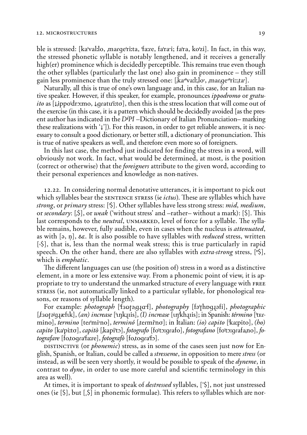ble is stressed: [ka'val:lo, marge'ri:ta, 'fa:re, fa'ra<sup>:</sup>i; fa'ra, ko'zi]. In fact, in this way, the stressed phonetic syllable is notably lengthened, and it receives a generally high(er) prominence which is decidedly perceptible. This remains true even though the other syllables (particularly the last one) also gain in prominence – they still gain less prominence than the truly stressed one: [ka<sup>+</sup>vaːlː.lo, mar.qe<sup>+</sup>riː.ta<sup>-</sup>].

Naturally, all this is true of one's own language and, in this case, for an Italian native speaker. However, if this speaker, for example, pronounces *ippodromo* or *gratuito* as [↓<sub>i</sub>ippo'dro:mo, ↓<sub>i</sub>qratu'i:to], then this is the stress location that will come out of the exercise (in this case, it is a pattern which should be decidedly avoided {as the present author has indicated in the *DIPI* –Dictionary of Italian Pronunciation– marking these realizations with '**≠**'}). For this reason, in order to get reliable answers, it is necessary to consult a good dictionary, or better still, a dictionary of pronunciation. This is true of native speakers as well, and therefore even more so of foreigners.

In this last case, the method just indicated for finding the stress in a word, will obviously not work. In fact, what would be determined, at most, is the position (correct or otherwise) that the *foreigners* attribute to the given word, according to their personal experiences and knowledge as non-natives.

12.22. In considering normal denotative utterances, it is important to pick out which syllables bear the *SENTENCE STRESS* (*ie <i>ictus*). These are syllables which have *strong*, or *primary* stress: **('**à**)**. Other syllables have less strong stress: *mid˚ medium*, or *secondary*: **(&**à**)**, or *weak* ('without stress' and –rather– without a mark): **(**à**)**. *˛*is last corresponds to the *neutral*, UNMARKED, level of force for a syllable. The syllable remains, however, fully audible, even in cases when the nucleus is *attenuated*, as with [ə, n], &c. It is also possible to have syllables with *reduced* stress, written **("**à**)**, that is, less than the normal weak stress; this is true particularly in rapid speech. On the other hand, there are also syllables with *extra-strong* stress, **("**à**)**, which is *emphatic*.

The different languages can use (the position of) stress in a word as a distinctive element, in a more or less extensive way. From a phonemic point of view, it is appropriate to try to understand the unmarked structure of every language with *free stress* (*¤*, not automatically linked to a particular syllable, for phonological reasons, or reasons of syllable length).

**For example:** *photograph* ['fɜotəˌqɪˌqɪf], *photography* [fə'thpqɪəfi], *photographic*  $[$ [f30tə'q]æftk], *(an) increase* ['tŋk]; *(I) increase* [tŋ'kh]; in Spanish: *término* ['tɛɪ**mino**], *termino* [ter'mino], *terminó* [termi'no]; in Italian: *(io) capito* ['ka:pito], *(ho) capito* **(ka'pi:tø)**, *capitò* **(&kapi'tO)**, *fotografo* **(fo'tO:gRafo)**, *fotografano* **(fo'tO:gRafa&no)**, *fotografare* [fo<sub>i</sub>toqra'faxe], *fotografò* [fo<sub>i</sub>toqra'fo].

*distinctive* (or *phonemic*) stress, as in some of the cases seen just now for English, Spanish, or Italian, could be called a *stresseme*, in opposition to mere *stress* (or instead, as will be seen very shortly, it would be possible to speak of the *dyneme*, in contrast to *dyne*, in order to use more careful and scientific terminology in this area as well).

At times, it is important to speak of *destressed* syllables, **(»**à**)**, not just unstressed ones (*¤* **(**à**)**, but **('**à**)** in phonemic formulae). *˛*is refers to syllables which are nor-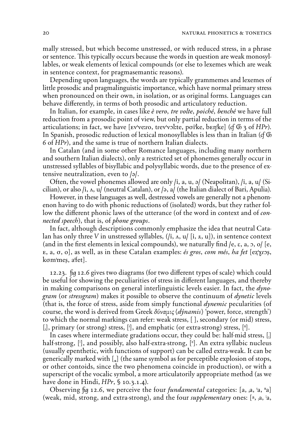mally stressed, but which become unstressed, or with reduced stress, in a phrase or sentence. This typically occurs because the words in question are weak monosyllables, or weak elements of lexical compounds (or else to lexemes which are weak in sentence context, for pragmasemantic reasons).

Depending upon languages, the words are typically grammemes and lexemes of little prosodic and pragmalinguistic importance, which have normal primary stress when pronounced on their own, in isolation, or as original forms. Languages can behave differently, in terms of both prosodic and articulatory reduction.

In Italian, for example, in cases like *è vero, tre volte, poiché, benché* we have full reduction from a prosodic point of view, but only partial reduction in terms of the articulations; in fact, we have [Ev've:ro, trev'vol:te, poi'ke, bEn'ke] (*c*f  $\Phi$  3 of *HPr*). In Spanish, prosodic reduction of lexical monosyllables is less than in Italian (*c*f *C*<sub>b</sub> 6 of *HPr*), and the same is true of northern Italian dialects.

In Catalan (and in some other Romance languages, including many northern and southern Italian dialects), only a restricted set of phonemes generally occur in unstressed syllables of bisyllabic and polysyllabic words, due to the presence of extensive neutralization, even to  $\beta$ .

Often, the vowel phonemes allowed are only /i, a, u,  $\frac{1}{2}$  (Neapolitan), /i, a, u/ (Sicilian), or also **/i, √, u/** (neutral Catalan), or **/È, a/** (the Italian dialect of Bari, Apulia).

However, in these languages as well, destressed vowels are generally not a phenomenon having to do with phonic reductions of (isolated) words, but they rather follow the different phonic laws of the utterance (of the word in context and of *connected speech*), that is, of *phone groups*.

In fact, although descriptions commonly emphasize the idea that neutral Catalan has only three *V* in unstressed syllables, (**/i, √, u/ (i,** *x***, u)**), in sentence context (and in the first elements in lexical compounds), we naturally find **/e, E, a, O, o/ (e, E**, a, σ, o], as well, as in these Catalan examples: *és gros, com més, ha fet* [ez¦χrɔş, **køm'meß, a'fet)**.

12.23. *û* 12.6 gives two diagrams (for two di‡erent types of scale) which could be useful for showing the peculiarities of stress in different languages, and thereby in making comparisons on general interlinguistic levels easier. In fact, the *dynogram* (or *stressgram*) makes it possible to observe the continuum of *dynetic* levels (that is, the force of stress, aside from simply functional *dynemic* pecularities (of course, the word is derived from Greek *δύναμις*  $\langle d\hat{\gamma}$ *namis* $\rangle$  'power, force, strength') to which the normal markings can refer: weak stress, { }, secondary (or mid) stress, **(&)**, primary (or strong) stress, **(')**, and emphatic (or extra-strong) stress, **(")**.

In cases where intermediate gradations occur, they could be: half-mid stress, **(***÷***)** half-strong, **(')**, and possibly, also half-extra-strong, **(")**. An extra syllabic nucleus (usually epenthetic, with functions of support) can be called extra-weak. It can be generically marked with  $\lceil \cdot \rceil$  (the same symbol as for perceptible explosion of stops, or other contoids, since the two phenomena coincide in production), or with a superscript of the vocalic symbol, a more articulatorily appropriate method (as we have done in Hindi, *HPr*, § 10.3.1.4).

Observing *fig* 12.6, we perceive the four *fundamental* categories: [a, a, 'a, "a] (weak, mid, strong, and extra-strong), and the four *supplementary* ones: **(a,** *÷***a, "a,**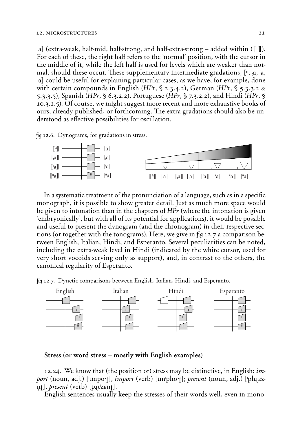**"a)** (extra-weak, half-mid, half-strong, and half-extra-strong – added within ({{ }}). For each of these, the right half refers to the 'normal' position, with the cursor in the middle of it, while the left half is used for levels which are weaker than normal, should these occur. These supplementary intermediate gradations, [a, *a*, *a*, **"a)** could be useful for explaining particular cases, as we have, for example, done with certain compounds in English (*HPr*,  $\Diamond$  2.3.4.2), German (*HPr*,  $\Diamond$  5.3.3.2  $\&$ 5.3.3.5), Spanish (*HPr*, § 6.3.2.2), Portuguese (*HPr*, § 7.3.2.2), and Hindi (*HPr*, § 10.3.2.5). Of course, we might suggest more recent and more exhaustive books of ours, already published, or forthcoming. The extra gradations should also be understood as effective possibilities for oscillation.

*û* 12.6. Dynograms, for gradations in stress.



In a systematic treatment of the pronunciation of a language, such as in a specific monograph, it is possible to show greater detail. Just as much more space would be given to intonation than in the chapters of *HPr* (where the intonation is given 'embryonically', but with all of its potential for applications), it would be possible and useful to present the dynogram (and the chronogram) in their respective sections (or together with the tonograms). Here, we give in *û* 12.7 a comparison between English, Italian, Hindi, and Esperanto. Several peculiarities can be noted, including the extra-weak level in Hindi (indicated by the white cursor, used for very short vocoids serving only as support), and, in contrast to the others, the canonical regularity of Esperanto.

*û* 12.7. Dynetic comparisons between English, Italian, Hindi, and Esperanto.



Stress (or word stress – mostly with English examples)

12.24. We know that (the position of) stress may be distinctive, in English: *import* (noun, adj.) ['umport], *import* (verb) [um'phort]; *present* (noun, adj.) ['ph<sub>JEZ</sub>- $\int$ nt], *present* (verb)  $\lceil$  p<sub>J</sub><sup> $\lceil$ </sup>zEnt].

English sentences usually keep the stresses of their words well, even in mono-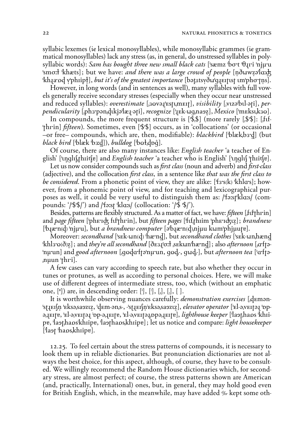syllabic lexemes (*¤* lexical monosyllables), while monosyllabic grammes (*¤* grammatical monosyllables) lack any stress (as, in general, do unstressed syllables in polysyllabic words): *Sam has bought three new small black cats* ['sæmz 'bσ't 'θ<sub>i</sub>ri 'njµ'u **'smø:ı 'khπts)***÷* but we have: *and there was a large crowd of people* **(ó∑***û***w***Ç***È'lA:ä 'kh**<sub>J</sub>a·od v'phiip!], *but it's of the greatest importance* [bət<sub>i</sub>ttsvðu'q $\frac{1}{2}$  Eritst  $\frac{1}{2}$  m'pho $\frac{1}{2}$ ].

However, in long words (and in sentences as well), many syllables with full vowels generally receive secondary stresses (especially when they occur near unstressed and reduced syllables): *overestimate* [[30] [[30] [[30] [[30] [[3] *visibility* [[vtzə bul-əti], *perpendicularity* [ph3·pən,dtkjə'læ<sub>J</sub>-əti], *recognize* [!jEk-uq,naəz], *Mexico* ['mEkst,kso].

In compounds, the more frequent structure is **('***à***&***à***)** (more rarely **(&***à***'***à***)**: **(&f¤f- 'ThI;in)** *fifteen*). Sometimes, even **('***à***'***à***)** occurs, as in 'collocations' (or occasional –or free– compounds, which are, then, modifiable): *blackbird* ['blæk<sub>i</sub>b3'd] (but *black bird* ['blæk 'bɜːd̪]), *bulldog* ['boł<sub>l</sub>dpq̃].

Of course, there are also many instances like: *English teacher* 'a teacher of English' **('¤˙gl¤S&ThIicå)** and *English teacher* 'a teacher who is English' **('¤˙gl¤S 'ThIicå)**.

Let us now consider compounds such as *first class* (noun and adverb) and *first-class* (adjective), and the collocation *first class*, in a sentence like *that was the first class to be considered*. From a phonetic point of view, they are alike: ['f3's(k) 'khlq's]; however, from a phonemic point of view, and for teaching and lexicographical purposes as well, it could be very useful to distinguish them as: /fa:stlkla:s/ (compounds: '**/'***à***'***à***/**') and **/'fÈ:sT 'klA:s/** (collocation: '**/'***à* **'***à***/**').

Besides, patterns are flexibly structured. As a matter of fact, we have: *fifteen* [ftt<sup>|</sup>rhrin] and *page fifteen* **('ph™;Iä f¤f'ThI;in)***˚* but *fifteen pages* **('f¤f&ThIim 'ph™;IG¤Ω)***÷ brandnew*  $[\nexists \text{log} \text{Im}(\text{d}) \text{Im}(\text{d})]$  **h**iuval, but *a brandnew computer*  $[\nexists \text{log} \text{Im}(\text{d})]$ ,  $\text{Im}(\text{d})$  kum'phjuutel.

 $M$ oreover: *secondhand* ['sEk- $u$ n(d) 'hæ·nd], but *secondhand clothes* ['sEk- $u$ n<sub>i</sub>hænd  $\Phi$ <sup>*[khl3*· $\alpha$ ( $\delta$ )*z*]; and *they're all secondhand* [ $\delta$ E31' $\sigma$ :*t* <sub>i</sub>sEkun'hæ·nd]; also *afternoon* [ $\alpha$ ft $\delta$ -</sup> 'nurun] and *good afternoon* [goodaftə'nurun, good, guid, ], but *afternoon tea* ['aftə-**&n¯un 'ThI;i)***˘*

A few cases can vary according to speech rate, but also whether they occur in tunes or protunes, as well as according to personal choices. Here, we will make use of different degrees of intermediate stress, too, which (without an emphatic one, **(")**) are, in descending order: **('), ("), (&), (***÷***), ( )**.

It is worthwhile observing nuances carefully: *demonstration exercises* [deman-'st μει (η 'Eksə saəzιz, 'dem-ən s-, -'st μει (η Eksə saəzιz), elevator operator ['El-ə νει tə μ' bp- $\partial_{\theta}$ EI†E, 'El- $\partial_{\theta}$ VEI† $\partial_{\theta}$  'DP- $\partial_{\theta}$ [EI†E, 'El- $\partial_{\theta}$ VEI† $\partial_{\theta}$ DP $\partial_{\theta}$ [EI†E], lighthouse keeper ['la $\partial_{\theta}$ [haos 'khiipe, 'laot<sub>h</sub>haos<sup>*'*khiipe, 'laothaos<sub>i</sub>khiipe]</sub>; let us notice and compare: *light housekeeper*</sup> ['laət 'haos<sub>i</sub>khiipe].

12.25. To feel certain about the stress patterns of compounds, it is necessary to look them up in reliable dictionaries. But pronunciation dictionaries are not always the best choice, for this aspect, although, of course, they have to be consulted. We willingly recommend the Random House dictionaries which, for secondary stress, are almost perfect; of course, the stress patterns shown are American (and, practically, International) ones, but, in general, they may hold good even for British English, which, in the meanwhile, may have added  $\frac{1}{2}$  kept some oth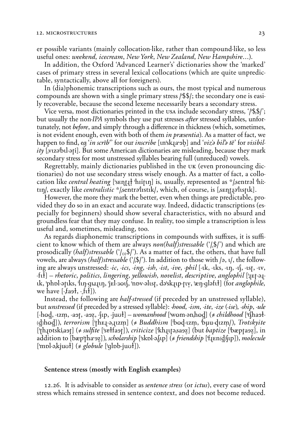er possible variants (mainly collocation-like, rather than compound-like, so less useful ones: weekend, icecream, New York, New Zealand, New Hampshire...).

In addition, the Oxford 'Advanced Learner's' dictionaries show the 'marked' cases of primary stress in several lexical collocations (which are quite unpredictable, syntactically, above all for foreigners).

In (dia) phonemic transcriptions such as ours, the most typical and numerous compounds are shown with a single primary stress /\\\$\pm\$\s\$\, the secondary one is easily recoverable, because the second lexeme necessarily bears a secondary stress.

Vice versa, most dictionaries printed in the USA include secondary stress,  $\langle \hat{\mathbf{x}}, \hat{\mathbf{y}} \rangle$ ; but usually the non-IPA symbols they use put stresses *after* stressed syllables, unfortunately, not *before*, and simply through a difference in thickness (which, sometimes, is not evident enough, even with both of them *in præsentia*). As a matter of fact, we happen to find, eq 'in scrib'' for our inscribe [un'sk] and 'viz's bil's te' for visibil*ity* [vuzabul-ati]. But some American dictionaries are misleading, because they mark secondary stress for most unstressed syllables bearing full (unreduced) vowels.

Regrettably, mainly dictionaries published in the UK (even pronouncing dictionaries) do not use secondary stress wisely enough. As a matter of fact, a collocation like *central heating* ['sEnt]<sup>1</sup> thither is, usually, represented as \*/sentral thitin/, exactly like *centralistic* \*/sentralistik/, which, of course, is  $[s_{\text{En1},j}$ ] [stik].

However, the more they mark the better, even when things are predictable, provided they do so in an exact and accurate way. Indeed, didactic transcriptions (especially for beginners) should show several characteristics, with no absurd and groundless fear that they may confuse. In reality, too simple a transcription is less useful and, sometimes, misleading, too.

As regards diaphonemic transcriptions in compounds with suffixes, it is sufficient to know which of them are always *non(half)stressable* (' $\binom{6}{7}$ ') and which are prosodically *(half)stressable* ('/<sub>(i)</sub>\\$/'). As a matter of fact, the others, that have full vowels, are always (*half)stressable* (' $|\$$ '). In addition to those with  $|a, t|$ , the following are always unstressed:  $ic$ ,  $ics$ ,  $ing$ ,  $ish$ ,  $ist$ ,  $ive$ ,  $phil$  [- $tk$ ,  $-iks$ ,  $-tp$ ,  $-tf$ ,  $-tv$ , -fil] - rhetoric, politics, lingering, yellowish, novelist, descriptive, anglophil ['IEt-21tk, phpl-attks, ltn-quitin, 'jEl-301(, 'npv-altst, da'skitp-tty, 'æn-qlaftt'] (for *anglophile*, we have  $[-\text{faəl}, -\text{ftl}].$ 

Instead, the following are *half-stressed* (if preceded by an unstressed syllable), but unstressed (if preceded by a stressed syllable): -hood, -ism, -ite, -ize (-ise), -ship, -ule [-hod, -tzm, -ast, -asz, -{tp, -juo}] – womanbood ['wom-an<sub>i</sub>hod] ( $\neq$  *childhood* ['thas}-(d)hod]), terrorism ['thEI- $\partial$ JUZM] ( $\neq$  Buddhism ['bod-UZM, 'bµu-dUZM]), Trotskyite ['th.jptski,a9t] ( $\neq$  sulfite ['selfa9t]), criticize ['kh.jt] sa9z] (but baptize ['bæpta9z], in addition to [bæp'tha. 37]), scholarship ['skpl-ə, [tp]  $(\neq$  friendship ['f. [En(d) [tp]), molecule ['mpl-əkjuv $\{$ ] ( $\neq$  globule ['qlpb-juv $\{$ ]).

# Sentence stress (mostly with English examples)

12.26. It is advisable to consider as *sentence stress* (or *ictus*), every case of word stress which remains stressed in sentence context, and does not become reduced.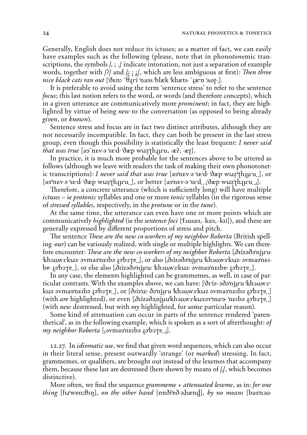Generally, English does not reduce its ictuses; as a matter of fact, we can easily have examples such as the following (please, note that in phono*ton*emic transcriptions, the symbols **/, ÷ ./** indicate intonation, not just a separation of example words, together with  $\frac{2}{7}$  and  $\frac{1}{6}$  **j**  $\frac{1}{6}$ , which are less ambiguous at first): *Then three nice black cats ran out* ['ðɛnː· <sup>−</sup>θ.µ·i 'naɔs 'blæk 'khæts· <sup>−</sup>.]æ·n 'aot·.]*.* 

It is preferable to avoid using the term 'sentence stress' to refer to the sentence *focus*; this last notion refers to the word, or words (and therefore concepts), which in a given utterance are communicatively more *prominent*; in fact, they are highlighted by virtue of being *new* to the conversation (as opposed to being already *given*, or *known*).

Sentence stress and focus are in fact two distinct attributes, although they are not necessarily incompatible. In fact, they can both be present in the last stress group, even though this possibility is statistically the least frequent: *I never said*  $that$  was true  $[a\sigma]$ n $ev\rightarrow$ 's $evd\cdot$ 'ðæp w $uz'$ t $h$ .

In practice, it is much more probable for the sentences above to be uttered as follows (although we leave with readers the task of making their own phonotonetic transcriptions): *I never said that was true* [a b nev = 's E d· 'δ a p wuz" [h. μ μ ], or  $[a\rightarrow^{\prime\prime}E\cdots\rightarrow^{\prime\prime}E\cdots\rightarrow^{\prime\prime}E\cdots\rightarrow^{\prime\prime}E\cdots\rightarrow^{\prime\prime}E\cdots\rightarrow^{\prime\prime}E\cdots\rightarrow^{\prime\prime}E\cdots\rightarrow^{\prime\prime}E\cdots\rightarrow^{\prime\prime}E\cdots\rightarrow^{\prime}E\cdots\rightarrow^{\prime}E\cdots\rightarrow^{\prime}E\cdots\rightarrow^{\prime}E\cdots\rightarrow^{\prime}E\cdots\rightarrow^{\prime}E\cdots\rightarrow^{\prime}E\cdots\rightarrow^{\prime}E\cdots\rightarrow^{\prime}E\cdots\rightarrow^{\prime}E\cdots\rightarrow^{\prime}E\cdots\rightarrow$ 

Therefore, a concrete utterance (which is sufficiently long) will have multiple *ictuses* – *ie protonic* syllables and one or more *tonic* syllables (in the rigorous sense of *stressed syllables˚* respectively, in the *protune* or in the *tune*).

At the same time, the utterance can even have one or more points which are communicatively *highlighted* (ie the *sentence foci* ['f3osa9, -ka9, -kɪi]), and these are generally expressed by different proportions of stress and pitch.

The sentence *These are the new co-workers of my neighbor Roberta* (British spelling *-our*) can be variously realized, with single or multiple highlights. We can therefore encounter: *These are the new co-workers of my neighbor Roberta* **[** $\delta$ iizə $\delta$ ə'njµu $\cdot$ "kh30<sub>i</sub>w3'kuz· əvmaə'neibə .jə'b3'te..], or also [ðiizəðə'njµu 'kh30<sub>i</sub>w3'kuz· əvmaə'neibe• <sub>i</sub>a'b3 pml; be• ia'b3 daysta3 3) be• ia'b3 yez-zibarte; j.

In any case, the elements highlighted can be grammemes, as well, in case of particular contrasts. With the examples above, we can have: ['ðɪ·iz· əðə'njµ·u 'kh3o<sub>l</sub>w3·kuz əvmaə'nɛɪbə ˌɪə'bɜ'tɐ..], or [ðɪiz'ɑː· ðə'njµ<sup>u 'k</sup>hɜoˌwɜ'kuz əvmaə'nɛɪbə ˌɪə'bɜ'tɐ..] (with *are* highlighted), or even [∂iizəðəniµukhsows kuzəvma v 'nEIbə 1ə<sup>†</sup>bə te.] (with *new* destressed, but with *my* highlighted, for some particular reason).

Some kind of attenuation can occur in parts of the sentence rendered 'parenthetical', as in the following example, which is spoken as a sort of afterthought: *of my neighbor Roberta* [<sub>L</sub>əvmaə'nɛɪbə 4ə'bɜːtɐ...].

12.27. In *idiomatic use*, we find that given word sequences, which can also occur in their literal sense, present outwardly 'strange' (or *marked*) stressing. In fact, grammemes, or qualifiers, are brought out instead of the lexemes that accompany them, because these last are destressed (here shown by means of  $\mu$ , which becomes distinctive).

More often, we find the sequence *grammeme* + *attenuated lexeme*, as in: *for one thing* [fwwen:θιη], *on the other hand* [pnði'eð-ə,hænd], *by no means* [ba∍'nso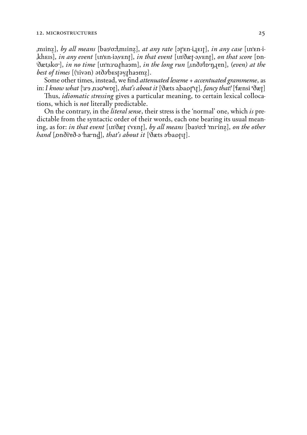minz], by all means [bas'ort, minz], at any rate [ət|En-i, [EI], in any case  $\lceil$ un|En-ikheis], in any event [in en-iavent], in that event [in  $\delta x$ ] and  $\delta x$ ], on that score [pn- $\exists$  d $\forall$ atsko $\forall$ , *in no time* [un|n30, thasm], *in the long run* [und alpha], (*even*) *at the* best of times [('rivan) atda'bEstay<sub>l</sub>thaamz].

Some other times, instead, we find attenuated lexeme + accentuated grammeme, as in: I know what ['a., n so"wpt], that's about it ['dets  $\alpha$ ] baot" then  $\alpha$ ]. fancy that! ['fænsi "det]

Thus, *idiomatic stressing* gives a particular meaning, to certain lexical collocations, which is *not* literally predictable.

On the contrary, in the *literal sense*, their stress is the 'normal' one, which is predictable from the syntactic order of their words, each one bearing its usual meaning, as for: *in that event* [in<sup>{</sup>d}) (vent], *by all means* [ba>] (varit 'mrinz], *on the other* hand [pndived a hand], that's about it [dats aboott].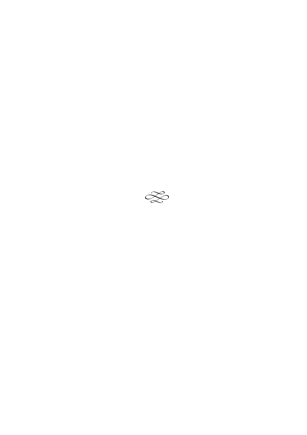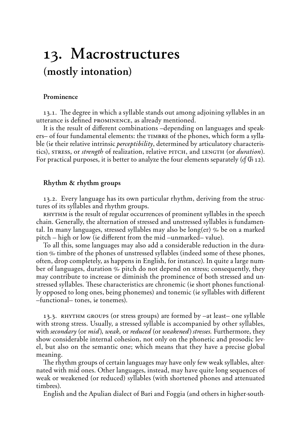# 13. Macrostructures (mostly intonation)

# Prominence

13.1. *˛*e degree in which a syllable stands out among adjoining syllables in an utterance is defined *prominence*, as already mentioned.

It is the result of different combinations –depending on languages and speakers– of four fundamental elements: the *timbre* of the phones, which form a syllable (*¤* their relative intrinsic *perceptibility*, determined by articulatory characteristics), *stress*, or *strength* of realization, relative *pitch,* and *length* (or *duration*). For practical purposes, it is better to analyze the four elements separately (*c*f  $\Phi$  12).

# Rhythm & rhythm groups

13.2. Every language has its own particular rhythm, deriving from the structures of its syllables and rhythm groups.

*rhythm* is the result of regular occurrences of prominent syllables in the speech chain. Generally, the alternation of stressed and unstressed syllables is fundamental. In many languages, stressed syllables may also be long(er)  $\frac{1}{2}$  be on a marked pitch – high or low (*ie* different from the mid –unmarked– value).

To all this, some languages may also add a considerable reduction in the duration  $\frac{1}{2}$  timbre of the phones of unstressed syllables (indeed some of these phones, often, drop completely, as happens in English, for instance). In quite a large number of languages, duration  $\frac{1}{2}$  pitch do not depend on stress; consequently, they may contribute to increase or diminish the prominence of both stressed and unstressed syllables. These characteristics are chronemic (*ie* short phones functionally opposed to long ones, being phonemes) and tonemic (*ie* syllables with different –functional– tones, *¤* tonemes).

13.3. *rhythm groups* (or stress groups) are formed by –at least– one syllable with strong stress. Usually, a stressed syllable is accompanied by other syllables, with *secondary* (or *mid*), weak, or *reduced* (or *weakened*) *stresses*. Furthermore, they show considerable internal cohesion, not only on the phonetic and prosodic level, but also on the semantic one; which means that they have a precise global meaning.

The rhythm groups of certain languages may have only few weak syllables, alternated with mid ones. Other languages, instead, may have quite long sequences of weak or weakened (or reduced) syllables (with shortened phones and attenuated timbres).

English and the Apulian dialect of Bari and Foggia (and others in higher-south-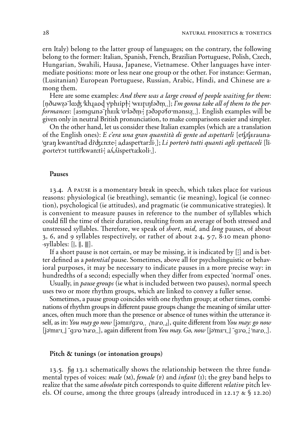ern Italy) belong to the latter group of languages; on the contrary, the following belong to the former: Italian, Spanish, French, Brazilian Portuguese, Polish, Czech, Hungarian, Swahili, Hausa, Japanese, Vietnamese. Other languages have intermediate positions: more or less near one group or the other. For instance: German, (Lusitanian) European Portuguese, Russian, Arabic, Hindi, and Chinese are among them.

Here are some examples: And there was a large crowd of people waiting for them: [nguwzə<sup>-</sup>la: $\frac{1}{\alpha}$  kh<sub>1</sub>aod yphiip!: weitinfədm...]; I'm gonna take all of them to the per*formances*: [aəmqunə<sup>-</sup>theik 'o'ləðm' təðəpə'fo'mənsiz...]. English examples will be given only in neutral British pronunciation, to make comparisons easier and simpler.

On the other hand, let us consider these Italian examples (which are a translation of the English ones): E c'era una gran quantità di gente ad aspettarli [et] terauna-'qran kwanti'tad di'dzɛnːte·¦ adaspet'tarːli·]; Li porterò tutti quanti agli spettacoli [liporte'rot tutti' kwanti a A Aispet' ta koli .].

### **Pauses**

13.4. A PAUSE is a momentary break in speech, which takes place for various reasons: physiological (ie breathing), semantic (ie meaning), logical (ie connection), psychological (ie attitudes), and pragmatic (ie communicative strategies). It is convenient to measure pauses in reference to the number of syllables which could fill the time of their duration, resulting from an average of both stressed and unstressed syllables. Therefore, we speak of *short*, *mid*, and *long* pauses, of about 3, 6, and 9 syllables respectively, or rather of about 2-4, 5-7, 8-10 mean phono--syllables:  $[|, \|, \|]$ .

If a short pause is not certain, or may be missing, it is indicated by [:] and is better defined as a *potential* pause. Sometimes, above all for psycholinguistic or behavioral purposes, it may be necessary to indicate pauses in a more precise way: in hundredths of a second; especially when they differ from expected 'normal' ones.

Usually, in *pause groups* (ie what is included between two pauses), normal speech uses two or more rhythm groups, which are linked to convey a fuller sense.

Sometimes, a pause group coincides with one rhythm group; at other times, combinations of rhythm groups in different pause groups change the meaning of similar utterances, often much more than the presence or absence of tunes within the utterance itself, as in: You may go now [jəmɛɪˈqɜːo..] raro...], quite different from You may: go now [jəˈmɛː] [qɜ·o ˈna·o], again different from You may. Go, now [jəˈmɛː] [qɜ·o] 'na·o].

# Pitch & tunings (or intonation groups)

13.5. fu 13.1 schematically shows the relationship between the three fundamental types of voices: male (M), female (F) and *infant* (I); the grey band helps to realize that the same *absolute* pitch corresponds to quite different *relative* pitch levels. Of course, among the three groups (already introduced in 12.17  $\&$  \ 12.20)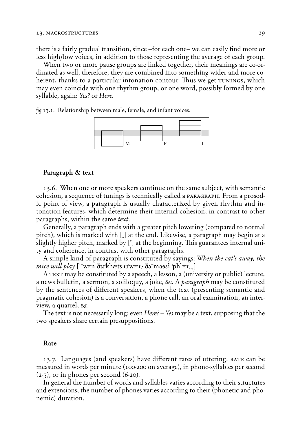there is a fairly gradual transition, since –for each one– we can easily find more or less high/low voices, in addition to those representing the average of each group.

When two or more pause groups are linked together, their meanings are co-ordinated as well; therefore, they are combined into something wider and more coherent, thanks to a particular intonation contour. Thus we get *TUNINGS*, which may even coincide with one rhythm group, or one word, possibly formed by one syllable, again: *Yes?* or *Here.*

*û* 13.1. Relationship between male, female, and infant voices.



# Paragraph & text

13.6. When one or more speakers continue on the same subject, with semantic cohesion, a sequence of tunings is technically called a *paragraph*. From a prosodic point of view, a paragraph is usually characterized by given rhythm and intonation features, which determine their internal cohesion, in contrast to other paragraphs, within the same *text*.

Generally, a paragraph ends with a greater pitch lowering (compared to normal pitch), which is marked with **(')** at the end. Likewise, a paragraph may begin at a slightly higher pitch, marked by **(»)** at the beginning. *˛*is guarantees internal unity and coherence, in contrast with other paragraphs.

A simple kind of paragraph is constituted by sayings: *∑en the cat's away, the mice will play* [°<sup>−</sup>wEn ð**u**'khæts *u***'wE'I; ∂ə<sup>−</sup>ma∍sł 'phlE'I<sub>.</sub>.**,].

A *text* may be constituted by a speech, a lesson, a (university or public) lecture, a news bulletin, a sermon, a soliloquy, a joke, *Â*. A *paragraph* may be constituted by the sentences of different speakers, when the text (presenting semantic and pragmatic cohesion) is a conversation, a phone call, an oral examination, an interview, a quarrel, *Â*.

*The text is not necessarily long: even <i>Here?* – *Yes* may be a text, supposing that the two speakers share certain presuppositions.

#### Rate

13.7. Languages (and speakers) have different rates of uttering. RATE can be measured in words per minute (100-200 on average), in phono-syllables per second (2-5), or in phones per second (6-20).

In general the number of words and syllables varies according to their structures and extensions; the number of phones varies according to their (phonetic and phonemic) duration.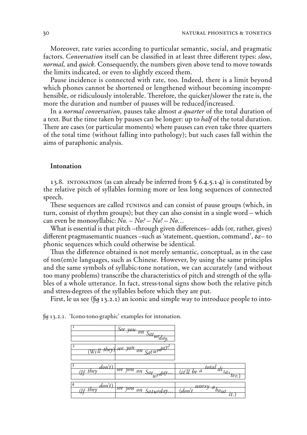Moreover, rate varies according to particular semantic, social, and pragmatic factors. *Conversation* itself can be classified in at least three different types: *slow*, *normal*, and *quick*. Consequently, the numbers given above tend to move towards the limits indicated, or even to slightly exceed them.

Pause incidence is connected with rate, too. Indeed, there is a limit beyond which phones cannot be shortened or lengthened without becoming incomprehensible, or ridiculously intolerable. Therefore, the quicker/slower the rate is, the more the duration and number of pauses will be reduced/increased.

In a *normal conversation*, pauses take almost *a quarter* of the total duration of a text. But the time taken by pauses can be longer: up to *half* of the total duration. There are cases (or particular moments) where pauses can even take three quarters of the total time (without falling into pathology); but such cases fall within the aims of paraphonic analysis.

# Intonation

13.8. *intonation* (as can already be inferred from § 6.4.5.1-4) is constituted by the relative pitch of syllables forming more or less long sequences of connected speech.

These sequences are called *runings* and can consist of pause groups (which, in turn, consist of rhythm groups); but they can also consist in a single word – which can even be monosyllabic: *No. – No? – No! – No…*

What is essential is that pitch –through given differences– adds (or, rather, gives) different pragmasemantic nuances –such as 'statement, question, command', &c– to phonic sequences which could otherwise be identical.

Thus the difference obtained is not merely semantic, conceptual, as in the case of ton(em)e languages, such as Chinese. However, by using the same principles and the same symbols of syllabic-tone notation, we can accurately (and without too many problems) transcribe the characteristics of pitch and strength of the syllables of a whole utterance. In fact, stress-tonal signs show both the relative pitch and stress-degrees of the syllables before which they are put.

First, le us see (fig 13.2.1) an iconic and simple way to introduce people to into-

|                |                                                          | See you on Saturday.                       |              |                                                                                                              |
|----------------|----------------------------------------------------------|--------------------------------------------|--------------|--------------------------------------------------------------------------------------------------------------|
| $\overline{2}$ | $\frac{1}{\sqrt{W_1}}$ ( $\frac{W_1}{W_2}$ they) see you |                                            | on Saturday: |                                                                                                              |
|                | $\Delta$ on't<br>$\overline{(If~ they)}$                 | $15$ ee you on $Sat_{u\overline{v}^{day}}$ |              | $(it'll$ be a total.<br>$\frac{d\tau_{\mathcal{S}\mathcal{A}}}{d\tau_{\mathcal{S}}}}$<br>$t\overline{e_{r}}$ |
| $\overline{4}$ | don't)<br>$\overline{df}$ they                           | see you on $S_d$                           |              | worr<br>$t_{b_{0}}$<br>'don't<br>$\overline{it}$ .                                                           |

*û* 13.2.1. 'Icono-tono-graphic' examples for intonation.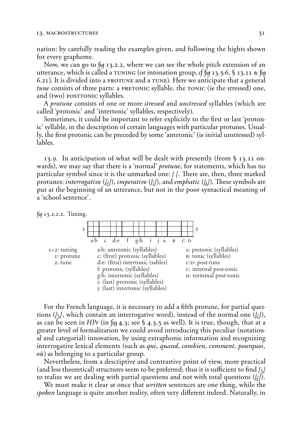nation: by carefully reading the examples given, and following the hights shown for every grapheme.

Now, we can go to *û* 13.2.2, where we can see the whole pitch extension of an utterance, which is called a *TUNING* (or intonation group, *c* ft *u* 13.5-6, § 13.11 & fu 6.21*]˘* It is divided into a *protune* and a *tune*). Here we anticipate that a general *tune* consists of three parts: a *pretonic* syllable, the *ronic* (*ie* the stressed) one, and (two) **postronic** syllables.

A *protune* consists of one or more *stressed* and *unstressed* syllables (which are called 'protonic' and 'intertonic' syllables, respectively).

Sometimes, it could be important to refer explicitly to the first or last 'protonic' syllable, in the description of certain languages with particular protunes. Usually, the first protonic can be preceded by some 'antetonic' (*¤* initial unstressed) syllables.

13.9. In anticipation of what will be dealt with presently (from § 13.11 onwards), we may say that there is a 'normal' *protune*, for statements, which has no particular symbol since it is the unmarked one: / /. There are, then, three marked protunes: *interrogative* (**/¿/**), *imperative* (**/¡/**), and *emphatic* (**/˚/**). *˛*ese symbols are put at the beginning of an utterance, but not in the poor syntactical meaning of a 'school sentence'.

*û* 13.2.2.2. Tuning.



For the French language, it is necessary to add a fifth protune, for partial questions (**/&/**, which contain an interrogative word), instead of the normal one (**/¿/**), as can be seen in *HPr* (in *û* 4.3; see § 4.3.5 as well). It is true, though, that at a greater level of formalization we could avoid introducing this peculiar (notational and categorial) innovation, by using extraphonic information and recognizing interrogative lexical elements (such as *qui*, *quand*, *combien*, *comment*, *pourquoi*, *oú]* as belonging to a particular group.

Nevertheless, from a descriptive and contrastive point of view, more practical (and less theoretical) structures seem to be preferred; thus it is sufficient to find  $\frac{1}{2}$ to realize we are dealing with partial questions and not with total questions **{/¿/}**.

We must make it clear at once that *written* sentences are one thing, while the *spoken* language is quite another reality, often very different indeed. Naturally, in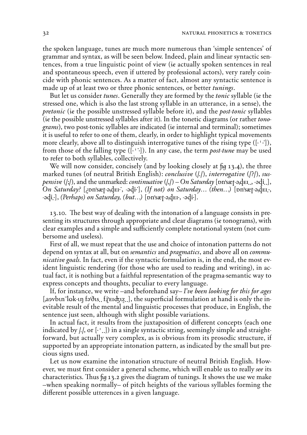the spoken language, tunes are much more numerous than 'simple sentences' of grammar and syntax, as will be seen below. Indeed, plain and linear syntactic sentences, from a true linguistic point of view (*¤* actually spoken sentences in real and spontaneous speech, even if uttered by professional actors), very rarely coincide with phonic sentences. As a matter of fact, almost any syntactic sentence is made up of at least two or three phonic sentences, or better *tunings*.

But let us consider *tunes*. Generally they are formed by the *tonic* syllable (*¤* the stressed one, which is also the last strong syllable in an utterance, in a sense), the *pretonic* (*ie* the possible unstressed syllable before it), and the *post-tonic* syllables (*¤* the possible unstressed syllables after it). In the tonetic diagrams (or rather *tonograms*), two post-tonic syllables are indicated (*¤* internal and terminal); sometimes it is useful to refer to one of them, clearly, in order to highlight typical movements more clearly, above all to distinguish interrogative tunes of the rising type  $([\cdot \cdot \cdot])$ , from those of the falling type **{(2 ' 12)}**. In any case, the term *post-tune* may be used to refer to both syllables, collectively.

We will now consider, concisely (and by looking closely at *fig* 13.4), the three marked tunes (of neutral British English): *conclusive* (**/./**), *interrogative* (**/?/**), *suspensive* ( $\vert \cdot \rangle$ ), and the unmarked: *continuative* ( $\vert \cdot \rangle$ ) – *On Saturday* [pn'sæt-ə $\vert$ dEI.., -ədi..], *On Saturday?* [¿pn'sæt-əˌdɛɪ·, -ədi·], (If not) on Saturday… (then…) [pn'sæt-əˌdɛɪ*·*, **-**ədi.·], *(Perhaps) on Saturday, (but…)* [pn'sæt-ə<sub>l</sub>dɛɪ·, -ədi·].

13.10. The best way of dealing with the intonation of a language consists in presenting its structures through appropriate and clear diagrams (*ie* tonograms), with clear examples and a simple and sufficiently complete notational system (not cumbersome and useless).

First of all, we must repeat that the use and choice of intonation patterns do not depend on syntax at all, but on *semantics* and *pragmatics*, and above all on *communicative goals*. In fact, even if the syntactic formulation is, in the end, the most evident linguistic rendering (for those who are used to reading and writing), in actual fact, it is nothing but a faithful representation of the pragma-semantic way to express concepts and thoughts, peculiar to every language.

If, for instance, we write –and beforehand say– *I've been looking for this for ages* [aəvbɪn<sup>-</sup>lok-ɪŋ fəˈðɪs.. fiˈʁɪʤɪz..], the superficial formulation at hand is only the inevitable result of the mental and linguistic processes that produce, in English, the sentence just seen, although with slight possible variations.

In actual fact, it results from the juxtaposition of different concepts (each one indicated by  $\mu$ , or  $\lceil \cdot \cdot \cdot \rceil$ ) in a single syntactic string, seemingly simple and straightforward, but actually very complex, as is obvious from its prosodic structure, if supported by an appropriate intonation pattern, as indicated by the small but precious signs used.

Let us now examine the intonation structure of neutral British English. However, we must first consider a general scheme, which will enable us to really *see* its characteristics. Thus fig 13.2 gives the diagram of tunings. It shows the use we make –when speaking normally– of pitch heights of the various syllables forming the different possible utterences in a given language.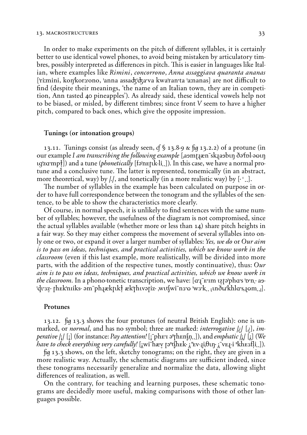#### 13. *macrostructures* 33

In order to make experiments on the pitch of different syllables, it is certainly better to use identical vowel phones, to avoid being mistaken by articulatory timbres, possibly interpreted as differences in pitch. This is easier in languages like Italian, where examples like *Rimini*, *concorrono*, *Anna assaggiava quaranta ananas* ['ri:mini, koŋ'kor:rono, 'anna assadʒ'dʒa·va kwa'ran·ta 'a:nanas] are not difficult to find (despite their meanings, 'the name of an Italian town, they are in competition, Ann tasted 40 pineapples'). As already said, these identical vowels help not to be biased, or misled, by different timbres; since front *V* seem to have a higher pitch, compared to back ones, which give the opposite impression.

## Tunings (or intonation groups)

13.11. Tunings consist (as already seen,  $f \$  13.8-9  $\alpha$  fig 13.2.2) of a protune (in our example *I am transcribing the following example* [a m t μ ε εκμαθιη δ ε το δειτισμ *u* $\alpha$ <sup>2</sup>)) and a tune (*phonetically* [fə<sup>t</sup>nE<sub>I</sub>tk-li<sub>n</sub>]). In this case, we have a normal protune and a conclusive tune. The latter is represented, tonemically (in an abstract, more theoretical, way) by  $\frac{1}{2}$ , and tonetically (in a more realistic way) by  $\left[\cdot\right]$ .

The number of syllables in the example has been calculated on purpose in order to have full correspondence between the tonogram and the syllables of the sentence, to be able to show the characteristics more clearly.

Of course, in normal speech, it is unlikely to find sentences with the same number of syllables; however, the usefulness of the diagram is not compromised, since the actual syllables available (whether more or less than 14) share pitch heights in a fair way. So they may either compress the movement of several syllables into only one or two, or expand it over a larger number of syllables: *Yes, we do* or *Our aim is to pass on ideas, techniques, and practical activities, which we know work in the classroom* (even if this last example, more realistically, will be divided into more parts, with the addition of the respective tunes, mostly continuative), thus: *Our aim is to pass on ideas, techniques, and practical activities, which we know work in the classroom*. In a phono-tonetic transcription, we have: [a:*J* E<sup>T</sup>Im *u*ztə phars 'p·n. a a **'D¤;'Ω2 Th™k'nIiks2 Èm5ph>πkT¤k® πk'Th¤vÈTiz2 &w¤cwi5n';¨ 'w';k3 3** ì**¤n∑***û***'khlA;s&>¨m3 3**œ**)**.

## Protunes

13.12. *û* 13.3 shows the four protunes (of neutral British English): one is unmarked, or *normal*, and has no symbol; three are marked: *interrogative* **/¿/ (¿)**, *imperative*  $\left| \cdot \right|$  [;] (for instance: *Pay attention!* [ $\cdot$ phE'I ə"thEn $\left[ \cdot \right]$ ]), and *emphatic*  $\left| \cdot \right|$  [ $\cdot$ ] (We *have to check everything very carefully!* [*i*wi<sup>-</sup>hæy tə"thEk $\cdot$ ; Ev- $\mathrm{I}$ *i* $\theta$ <sup>t</sup>I] $\cdot$ ; vE $\mathrm{I}$ <sup>-i</sup> "khE3fli.]).

*û* 13.3 shows, on the left, sketchy tonograms; on the right, they are given in a more realistic way. Actually, the schematic diagrams are sufficient indeed, since these tonograms necessarily generalize and normalize the data, allowing slight differences of realization, as well.

On the contrary, for teaching and learning purposes, these schematic tonograms are decidedly more useful, making comparisons with those of other languages possible.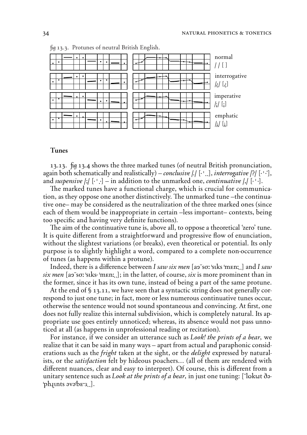| $\circ$<br>$\circ$ | $\circ$<br>$\circ$<br>$\circ$<br>$\circ$<br>$\circ$ |                    | normal<br>$^{\prime}$ / $\downarrow$ $\downarrow$ |
|--------------------|-----------------------------------------------------|--------------------|---------------------------------------------------|
| $\circ$<br>$\circ$ | $\circ$<br>$\circ$<br>$\circ$<br>$\circ$<br>$\circ$ | س                  | interrogative<br>[خ]  خ                           |
| ਨ<br>$\circ$       | $\circ$<br>$\circ$<br>$\circ$<br>$\circ$<br>$\sim$  | ╼<br>$\rightarrow$ | imperative<br>$\frac{1}{i}$ [i]                   |
| ত<br>$\circ$       | $\circ$<br>$\sim$<br>$\circ$<br>$\circ$<br>$\circ$  | $\sim$             | $\emph{emphatic}$<br>لڼا<br>انا                   |

*û* 13.3. Protunes of neutral British English.

# Tunes

13.13. *û* 13.4 shows the three marked tunes (of neutral British pronunciation, again both schematically and realistically) – *conclusive*  $\frac{1}{2}$  [ $\cdot \cdot \cdot$ ], *interrogative*  $\frac{1}{2}$ [ $\cdot \cdot \cdot$ ], and *suspensive*  $|\cdot| \cdot |\cdot|$  – in addition to the unmarked one, *continuative*  $|\cdot| \cdot |\cdot|$ .

The marked tunes have a functional charge, which is crucial for communication, as they oppose one another distinctively. The unmarked tune –the continuative one– may be considered as the neutralization of the three marked ones (since each of them would be inappropriate in certain –less important– contexts, being too specific and having very definite functions).

The aim of the continuative tune is, above all, to oppose a theoretical 'zero' tune. It is quite different from a straightforward and progressive flow of enunciation, without the slightest variations (or breaks), even theoretical or potential. Its only purpose is to slightly highlight a word, compared to a complete non-occurrence of tunes (as happens within a protune).

Indeed, there is a difference between *I saw six men* [a¬5soː 'sɪks 'mɛnː.] and *I saw six men* [a�5sø: 'sɪks· 'mɛn:..]; in the latter, of course, *six* is more prominent than in the former, since it has its own tune, instead of being a part of the same protune.

At the end of § 13.11, we have seen that a syntactic string does not generally correspond to just one tune; in fact, more or less numerous continuative tunes occur, otherwise the sentence would not sound spontaneous and convincing. At first, one does not fully realize this internal subdivision, which is completely natural. Its appropriate use goes entirely unnoticed; whereas, its absence would not pass unnoticed at all (as happens in unprofessional reading or recitation).

For instance, if we consider an utterance such as *Look! the prints of a bear*, we realize that it can be said in many ways – apart from actual and paraphonic considerations such as the *fright* taken at the sight, or the *delight* expressed by naturalists, or the *satisfaction* felt by hideous poachers… (all of them are rendered with different nuances, clear and easy to interpret). Of course, this is different from a unitary sentence such as *Look at the prints of a bear*, in just one tuning: [<sup>−1</sup>lokut ðǝ**ph**unts avabers..].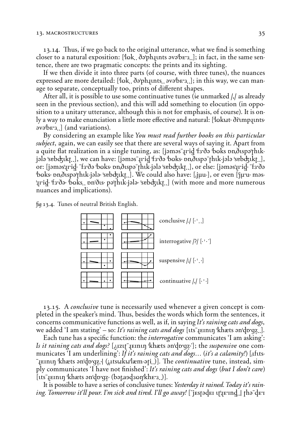13.14. Thus, if we go back to the original utterance, what we find is something closer to a natural exposition: ['lok.  $\delta \phi$ 'ph<sub>1</sub>unts  $\phi \phi$ 'bE'3.]; in fact, in the same sentence, there are two pragmatic concepts: the prints and its sighting.

If we then divide it into three parts (of course, with three tunes), the nuances expressed are more detailed: ['lok.  $\delta \vartheta$ 'ph<sub>1</sub>unts.  $\vartheta$ <sup>-</sup>be'3..]; in this way, we can manage to separate, conceptually too, prints of different shapes.

After all, it is possible to use some continuative tunes (*¤* unmarked **/,/** as already seen in the previous section), and this will add something to elocution (in opposition to a unitary utterance, although this is not for emphasis, of course). It is only a way to make enunciation a little more effective and natural: ['lokut· ði'ump<sub>i</sub>unts· **ÈvÈ'b™;'3 3)** (and variations).

By considering an example like *You must read further books on this particular subject*, again, we can easily see that there are several ways of saying it. Apart from a quite flat realization in a single tuning, as: [jəməs<sup>-</sup>µrid 'fa də 'boks pn∂tspə'†hıkjələ 'sɐbʤtkt..], we can have: [jəməs<sup>-</sup>irid 'fɜ·ðə 'boks· ɒnˌðtspə<sup>-</sup>thtk-jələ 'sɐbʤtkt..], or: [jəməs'<sub>I</sub>rid<sup>. -</sup>f3'də 'boks· pn@tspə<sup>-</sup>thık-jələ 'sɐbdʒɪkt.], or else: [jəməs'<sub>I</sub>rid. <sup>-</sup>f3'də **'boks on∂tspa'thik-jala 'sebdzikt**..]. We could also have: [jµu-], or even ['jµ'u· mas-**'>I;ifl2 'f';∑È2 'b¨ks3 3 Øn'∑¤s2 pÈ'Th¤k-jÈlÈ2 'såbG¤kT3 3)** (with more and more numerous nuances and implications).

*û* 13.4. Tunes of neutral British English.



13.15. A *conclusive* tune is necessarily used whenever a given concept is completed in the speaker's mind. Thus, besides the words which form the sentences, it concerns communicative functions as well, as if, in saying *It's raining cats and dogs*, we added 'I am stating' – so: It's raining cats and dogs [uts<sup>-</sup>JEINII] 'khæts ən'dovqz<sub>.</sub>.].

Each tune has a specific function: the *interrogative* communicates 'I am asking': *Is it raining cats and dogs?* [¿µzt] [EInth khæts ən'dorqz·]; the *suspensive* one communicates 'I am underlining': If *it's raining cats and dogs...* (*it's a calamity!*) [µftts-**5** Teinin 'khæts ən'dorgz. ( (\*utsuku'læm-əti.)]. The *continuative* tune, instead, simply communicates 'I have not finished': *It's raining cats and dogs [but I don't care]*  $[$ tts<sup>-</sup> $j$  $\text{Enn}$ tn $j$ <sup> $\text{k}$ </sup> $\text{h}$ æts  $\text{sn}$ ' $\text{dp}$ ' $qz$ · $\text{d}$  $\text{p}$ <sub>1</sub> $\text{p}$  $\text{p}$  $\text{p}$  $\text{p}$  $\text{p}$  $\text{p}$  $\text{p}$  $\text{p}$  $\text{p}$  $\text{p}$  $\text{p}$  $\text{p}$  $\text{p}$  $\text{p}$  $\text{p}$  $\text{p}$  $\text{p}$  $\text{p}$  $\text{p}$  $\text{p$ 

It is possible to have a series of conclusive tunes: *Yesterday it rained. Today it's raining. Tomorrow it'll pour. I'm sick and tired. I'll go away!* [ $\bar{\text{F}}$ ] [inflact]  $\text{F}$ [ $\text{F}$ ]  $\text{F}$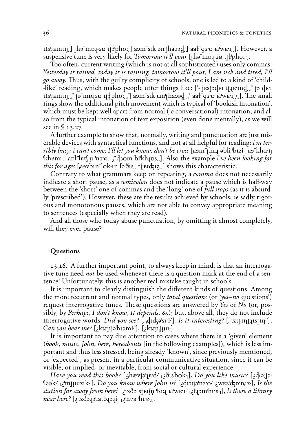**¤ts'>™In¤˙3 3| ThÈ5mØ>-'¨ ¤T®'phø:3 3| aÙm5s¤k Èn'ThaÙÈfl3 3| aÉı5g';¨** *û***'w™;I3 3)**. However, a suspensive tune is very likely for *Tomorrow it'll pour* [thə mp. 30 the  $\frac{1}{2}$ ].

Too often, current writing (which is not at all sophisticated) uses only commas: *Yesterday it rained, today it is raining, tomorrow it'll pour, I am sick and tired, I'll go away*. Thus, with the guilty complicity of schools, one is led to a kind of 'childlike' reading, which makes people utter things like: <sup>[•</sup>j¤stədur t†IETInd<sub>...</sub>° tə<sup>-</sup>duri *uts'***|EIntn<sub>n</sub><sup>o</sup>;**</sup> tə mpq30 tt<sup>{|</sup>phot<sub>1</sub>, | aom stk *un'*thao is and q3'0 *u'wE'l*; ...]. The small rings show the additional pitch movement which is typical of 'bookish intonation', which must be kept well apart from normal (*ie* conversational) intonation, and also from the typical intonation of text exposition (even done mentally), as we will see in § 13.27.

A further example to show that, normally, writing and punctuation are just miserable devices with syntactical functions, and not at all helpful for reading: *I'm terribly busy: I can't come; I'll let you know; don't be cross* [aɔm<sup>-</sup>thɛɪ-əbli <sup>i</sup>btzi.. aɔ<sup>-</sup>khɑːŋ khem: | aat<sup>-1</sup>let∫-µ 'n30..; daom bi'kh<sub>4</sub>ps.]. Also the example *I've been looking for this for ages* [aovbin<sup>-</sup>lok-in fə'ðis. fi<sup>'</sup>EIckiz.] shows this characteristic.

Contrary to what grammars keep on repeating, a *comma* does not necessarily indicate a short pause, as a *semicolon* does not indicate a pause which is half-way between the 'short' one of commas and the 'long' one of *full stops* (as it is absurdly 'prescribed'). However, these are the results achieved by schools, *ie* sadly rigorous and monotonous pauses, which are not able to convey appropriate meaning to sentences (especially when they are read).

And all those who today abuse punctuation, by omitting it almost completely, will they ever pause?

# **Questions**

13.16. A further important point, to always keep in mind, is that an interrogative tune need *not* be used whenever there is a question mark at the end of a sentence! Unfortunately, this is another real mistake taught in schools.

It is important to clearly distinguish the different kinds of questions. Among the more recurrent and normal types, only *total questions* (or '*yes–no* questions') request interrogative tunes. These questions are answered by *Yes* or *No* (or, possibly, by *Perhaps*, I *don't know*, It *depends*, &c); but, above all, they do not include interrogative words: *Did you see?* [¿dudʒə'sri·], *Is it interesting?* [¿vzɪt<sup>|</sup>uŋtɪstɪŋ·], *Can you hear me?* **(¿k***û***~jÈ'h¤Èmi21), (¿k***û***~&j¯u-)**.

It is important to pay due attention to cases where there is a 'given' element *(book, music, John, here, hereabouts* [in the following examples]), which is less important and thus less stressed, being already 'known', since previously mentioned, or 'expected', as present in a particular communicative situation, since it can be visible, or implied, or inevitable, from social or cultural experience.

*Have you read this book?* [¿hævjəˈɪɛːd· ¿ðtsbok·], *Do you like music?* [¿d͡(ə)jə-**'laÙk21** ì**¿'mj¯uz¤k2**œ**)**, *Do you know where John is?* **(¿DúÈûjÈ'n';¨21 ¿w™''GØ;n&¤Ω2)**, *Is the station far away from here?* **(¿¤z∑È5sT™ISó 'fA:>** *û***'w™;I21** ì**¿f>Èm'h¤;å2**œ**),** *Is there a library near here?* **(¿&¤z∑È>È'la¤b>È>i21** ì**¿'n¤;' 'h¤;å2**œ**)**.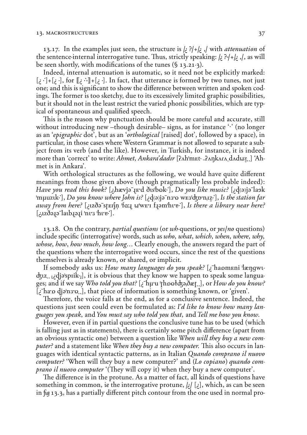13.17. In the examples just seen, the structure is **/¿ ?/**+**/¿ ,/** with *attenuation* of the sentence-internal interrogative tune. Thus, strictly speaking: /¿ ?·/+/¿ ,/, as will be seen shortly, with modifications of the tunes (§ 13.21-3).

Indeed, internal attenuation is automatic, so it need not be explicitly marked: **(¿ 21)**+**(¿ 2)**, for **((¿ 21"))**+**(¿ 2)**. In fact, that utterance is formed by two tunes, not just one; and this is significant to show the difference between written and spoken codings. The former is too sketchy, due to its excessively limited graphic possibilities, but it should not in the least restrict the varied phonic possibilities, which are typical of spontaneous and qualified speech.

This is the reason why punctuation should be more careful and accurate, still without introducing new –though desirable– signs, as for instance  $\cdot$  ' (no longer as an '*epigraphic* dot', but as an '*orthological* {raised} dot', followed by a space), in particular, in those cases where Western Grammar is not allowed to separate a subject from its verb (and the like). However, in Turkish, for instance, it is indeed more than 'correct' to write: *Ahmet, Ankara'dadır* [?∧h'mɛt· -?∧ηk∧r∧ d∧duẓ.] 'Ahmet is in Ankara'.

With orthological structures as the following, we would have quite different meanings from those given above (though pragmatically less probable indeed): *Have you read this book?* [¿hævjə [Erd ðis'bok·], *Do you like music?* [¿d(ə)jə laək **'m¯uz¤k21)**, *Do you know where John is?* **(¿D***[***È***]***jÈ5n';¨ w™''GØ;n&¤Ω21)**, *Is the station far away from here?* **(¿¤z∑È5sT™ISó 'fA:>** *û***'w™;I f>Èm'h¤;å21),** *Is there a library near here?* **(¿&¤z∑È>È5la¤b>È>i 'n¤;' 'h¤;å21)**.

13.18. On the contrary, *partial questions* (or *wh*-questions, or *yes*/*no* questions) include specific (interrogative) words, such as *who*, *what*, *which*, *when*, *where*, *why*, *whose, how, how much, how long...* Clearly enough, the answers regard the part of the questions where the interrogative word occurs, since the rest of the questions themselves is already known, or shared, or implicit.

If somebody asks us: *How many languages do you speak?* [*;* haomeni 'lænqwιd<sub>3</sub>tz<sub>1</sub>, <sub>1</sub><sup>2</sup>djə'spiik<sub>1</sub>, it is obvious that they know we happen to speak some languages; and if we say *Who told you that?* [¿<sup>-</sup>hµ·u 'thoołd;a)dat..], or *How do you know?* [i]<sup>-</sup>haro djə'naro], that piece of information is something known, or 'given'.

Therefore, the voice falls at the end, as for a conclusive sentence. Indeed, the questions just seen could even be formulated as: *I'd like to know how many languages you speak˚* and *You must say who told you that˚* and *Tell me how you know˘*

However, even if in partial questions the conclusive tune has to be used (which is falling just as in statements), there is certainly some pitch difference (apart from an obvious syntactic one) between a question like *∑en will they buy a new computer?* and a statement like *When they buy a new computer*. This also occurs in languages with identical syntactic patterns, as in Italian *Quando comprano il nuovo computer?* 'When will they buy a new computer?' and *(Lo copiano) quando comprano il nuovo computer* '(They will copy it) when they buy a new computer'.

The difference is in the protune. As a matter of fact, all kinds of questions have something in common, *¤* the interrogative protune, **/¿/ (¿)**, which, as can be seen in fig 13.3, has a partially different pitch contour from the one used in normal pro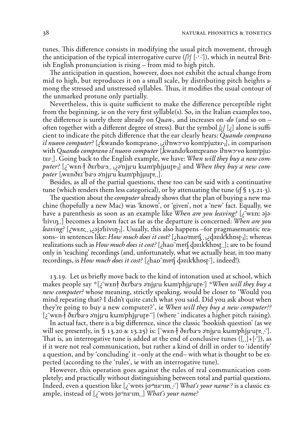tunes. This difference consists in modifying the usual pitch movement, through the anticipation of the typical interrogative curve  $(|?|$  [ $\cdot \cdot \cdot$ ]), which in neutral British English pronunciation is rising – from mid to high pitch.

The anticipation in question, however, does not exhibit the actual change from mid to high, but reproduces it on a small scale, by distributing pitch heights among the stressed and unstressed syllables. Thus, it modifies the usual contour of the unmarked protune only partially.

Nevertheless, this is quite sufficient to make the difference perceptible right from the beginning, *¤* on the very first syllable(s). So, in the Italian examples too, the difference is surely there already on *Quan-*, and increases on *-do* (and so on – often together with a di‡erent degree of stress). But the symbol **/¿/ (¿)** alone is su' cient to indicate the pitch difference that the ear clearly hears: Quando comprano *il nuovo computer?* [¿'kwando 'kom:prano: i¦il'nwo vo kom'pju:tɛɾ·], in comparison with *Quando comprano il nuovo computer* [kwando'kom:prano· il'nwo vo kom'pju:t<sub>Ef</sub>.]. Going back to the English example, we have: *When will they buy a new computer?* [¿vEn-ł ðEIba·s. <sub>Li</sub>anjµ·u kum'phjµute·<sub>1</sub>] and *When they buy a new com*puter [wEnðEI<sup>-</sup>ba; <sup>2</sup>] biju kum'phjuute.].

Besides, as all of the partial questions, these too can be said with a continuative tune (which renders them less categorical), or by attenuating the tune  $(f \S 13.21-3)$ .

The question about the *computer* already shows that the plan of buying a new machine (hopefully a new Mac) was 'known', or 'given', not a 'new' fact. Equally, we have a parenthesis as soon as an example like *When are you leaving*? [¿wen: əjə-<u><sup>'l</sup>Iivun</u><sub>.</sub>.] becomes a known fact as far as the departure is concerned: *When are you leaving*? [¿'wEnː. ¿Əjə'lɪivɪŋ·]. Usually, this also happens –for pragmasemantic reasons– in sentences like: *How much does it cost?* [¿hao'mɐtʃ.. [¿dəzɪk<sup>|</sup>khɒst·]; whereas realizations such as *How much does it cost*? [*ihao* met dozik'khost..]; are to be found only in 'teaching' recordings (and, unfortunately, what we actually hear, in too many recordings, is *How much does it cost?* [*ilao* met doezik khost<sup>2</sup>], indeed!).

13.19. Let us briefly move back to the kind of intonation used at school, which makes people say \*[¿<sup>−</sup>wEnł ðEI<sup>b</sup>a; ∂njµ`u kum'phjµ`ute∙] \**When will they buy a new computer?* whose meaning, strictly speaking, would be closer to 'Would you mind repeating that? I didn't quite catch what you said. Did you ask about when they're going to buy a new computer?', *¤ ∑en will they buy a new computer??* **(¿5w™n-® ∑™I'ba;Ù È'nj¯;u k***û***m'phj¯;uTå21»)** (where **»** indicates a higher pitch raising).

In actual fact, there is a big difference, since the classic 'bookish question' (as we will see presently, in § 13.20  $\alpha$  13.25) is: [wen-t derbare anium k*um* phjuming  $\mathcal{S}$ ]. That is, an interrogative tune is added at the end of conclusive tunes  $([\cdot,\cdot]_+[\cdot^\circ]),$  as if it were not real communication, but rather a kind of drill in order to 'identify' a question, and by 'concluding' it –only at the end– with what is thought to be expected (according to the 'rules', *¤* with an interrogative tune).

However, this operation goes against the rules of real communication completely; and practically without distinguishing between total and partial questions. Indeed, even a question like **(¿5wØts jø;"n™;Im3 3"»)***∑at's your name***Ò***?* is a classic example, instead of **(¿5wØts jø;'n™;Im3 3)** *∑at's your name?*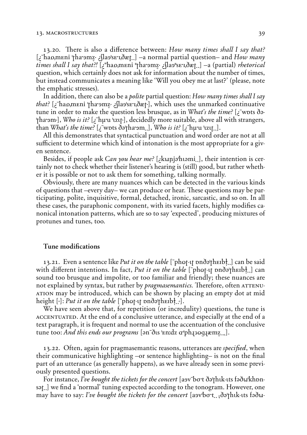13.20. There is also a difference between: *How many times shall I say that?* **(¿5haÖ&m™ni 'Tha;ÙmΩ2 ¿SlaÙ's™;I&∑πT3 3)** –a normal partial question– and *How many times shall I say that?!* **(¿8haÖ&m™ni "Tha;ÙmΩ2 ¿SlaÙ"s™;I&∑πT3 3)** –a (partial) *rhetorical* question, which certainly does not ask for information about the number of times, but instead communicates a meaning like 'Will you obey me at last?' (please, note the emphatic stresses).

In addition, there can also be a *polite* partial question: *How many times shall I say that?* **(¿5haÖ&m™ni 'Tha;ÙmΩ2 ¿SlaÙ's™;I&∑πT2)**, which uses the unmarked continuative tune in order to make the question less brusque, as in *What's the time?* [¿wots ðə-'tha·9m·], *Who is it?* [¿<sup>-</sup>hµ·u <sup>*i*</sup>zut<sub>1</sub>.], decidedly more suitable, above all with strangers,  $\overline{t}$ han *What's the time?* [¿<sup>−</sup>wɒts ðə'[ha·ɔm.], *Who is it?* [¿<sup>−</sup>hµ·u 'ưzι[..].

All this demonstrates that syntactical punctuation and word order are not at all sufficient to determine which kind of intonation is the most appropriate for a given sentence.

Besides, if people ask *Can you hear me?* [¿kun̩jəˈhɪəmi.], their intention is certainly not to check whether their listener's hearing is (still) good, but rather whether it is possible or not to ask them for something, talking normally.

Obviously, there are many nuances which can be detected in the various kinds of questions that –every day– we can produce or hear. These questions may be participating, polite, inquisitive, formal, detached, ironic, sarcastic, and so on. In all these cases, the paraphonic component, with its varied facets, highly modifies canonical intonation patterns, which are so to say 'expected', producing mixtures of protunes and tunes, too.

# Tune modifications

13.21. Even a sentence like *Put it on the table* [<sup>−</sup>phot-*i*†  $\alpha$ nðə†herb<sup>1</sup>...] can be said with different intentions. In fact, *Put it on the table* [<sup>-</sup>phot-*u*] ond<sup>3</sup>'|heib!..] can sound too brusque and impolite, or too familiar and friendly; these nuances are not explained by syntax, but rather by *pragmasemantics*. Therefore, often *ATTENUation* may be introduced, which can be shown by placing an empty dot at mid height  $[\cdot]$ : *Put it on the table*  $[\neg \text{phot-t} \text{ mod} \rightarrow \text{th} \text{ mb} \cdot \cdot].$ 

We have seen above that, for repetition (or incredulity) questions, the tune is *accentuated*. At the end of a conclusive utterance, and especially at the end of a text paragraph, it is frequent and normal to use the accentuation of the conclusive tune too: *And this ends our programs* [ən<sup>-</sup>ðis 'En:dz a<sup>+</sup>ph<sub>ri</sub>noquamz...].

13.22. Often, again for pragmasemantic reasons, utterances are *specified*, when their communicative highlighting –or sentence highlighting– is not on the final part of an utterance (as generally happens), as we have already seen in some previously presented questions.

*For instance, I've bought the tickets for the concert* [a∋v<sup>-</sup>bσ·t ðə'†hık-ıts fəð $\tilde{a}$ w<sup>†</sup>khpns<sup>ET</sup><sub>3</sub>] we find a 'normal' tuning expected according to the tonogram. However, one may have to say: *I've bought the tickets for the concert* [aov<sup>*l*</sup>bo·t<sub>. 1</sub>∂∂'†h $\iota$ k-tts fəð $\iota$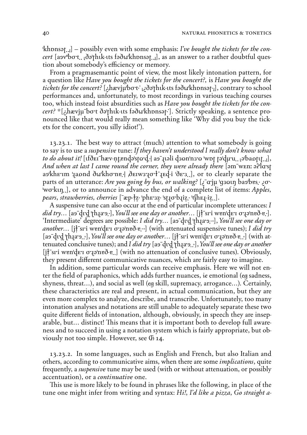$\ell$  khonsat...] – possibly even with some emphasis: I've bought the tickets for the con*cert* [aov<sup>"</sup>bo't., [d̄ə'|thik-its fəd̄u'|khpnsət., ], as an answer to a rather doubtful question about somebody's efficiency or memory.

From a pragmasemantic point of view, the most likely intonation pattern, for a question like Have you bought the tickets for the concert?, is Have you bought the tickets for the concert? [:hævju<sup>t</sup>bot: jðə'thık-its fəðu'khpnsət<sub>'i</sub>], contrary to school performances and, unfortunately, to most recordings in various teaching courses too, which instead foist absurdities such as *Have you bought the tickets for the con*cert? \* [ hævju bo t ðə | thık-tts fəðu khonsə ti ]. Strictly speaking, a sentence pronounced like that would really mean something like 'Why did you buy the tickets for the concert, you silly idiot!').

13.23.1. The best way to attract (much) attention to what somebody is going to say is to use a *suspensive* tune: If they haven't understood I really don't know what *to do about it!* [tfðɛɪ<sup>-</sup>hæv-ntˌɐndəˈstoːd̩..] aə<sup>-</sup>juəli dɜonˈnɜːo ˈwɒt təˈdµːu.. ˌəˈbaotut...], And when at last I came round the corner, they were already there [am<sup>-</sup>wen: a<sup>2</sup>last] aakheim 'jaond du'khone. deuws jort jed-i 'dess...], or to clearly separate the parts of an utterance: Are you going by bus, or walking? [j a ju 'q soin bas' bes. joworkin...], or to announce in advance the end of a complete list of items: Apples, *pears, strawberries, cherries* [ $\epsilon$ æp-łz· phe·3z· stjo·bjiz· t{hej-iz.].

A suspensive tune can also occur at the end of particular incomplete utterances: I did try... [aə<sup>-</sup>dvd | th. a·ə-], You'll see one day or another... [i] sri wen| dex 0 : 1 = ned e.]. 'Intermediate' degrees are possible: I did try... [ao<sup>-</sup>dud |th<sub>1</sub>ao-..], You'll see one day or *another...* [if sixt] wen'de i our phed-e. [with attenuated suspensive tunes); I did try [aə<sup>-</sup>dvd 'th.ja·ə..<sup>3</sup>], You'll see one day or another... [i]<sup>-</sup>sri wen'dE<sup>1</sup> o·jə'neð-e..<sup>3</sup>] (with attenuated conclusive tunes); and I *did try* [a9<sup>-</sup>dud | th.1a.9...], You'll see one day or another  $[i]$ <sup>-</sup>sri wen'deu our neglect- (with no attenuation of conclusive tunes). Obviously, they present different communicative nuances, which are fairly easy to imagine.

In addition, some particular words can receive emphasis. Here we will not enter the field of paraphonics, which adds further nuances, ie emotional (eq sadness, shyness, threat...), and social as well (eq skill, supremacy, arrogance...). Certainly, these characteristics are real and present, in actual communication, but they are even more complex to analyze, describe, and transcribe. Unfortunately, too many intonation analyses and notations are still unable to adequately separate these two quite different fields of intonation, although, obviously, in speech they are inseparable, but... distinct! This means that it is important both to develop full awareness and to succeed in using a notation system which is fairly appropriate, but obviously not too simple. However, see  $\Phi$  14.

13.23.2. In some languages, such as English and French, but also Italian and others, according to communicative aims, when there are some *implications*, quite frequently, a *suspensive* tune may be used (with or without attenuation, or possibly accentuation), or a *continuative* one.

This use is more likely to be found in phrases like the following, in place of the tune one might infer from writing and syntax: Hi!, I'd like a pizza, Go straight a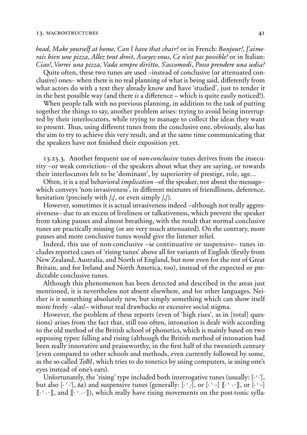*head, Make yourself at home, Can I have that chair?* or in French: *Bonjour!, J'aime*rais bien une pizza, Allez tout droit, Asseyez-vous, Ce n'est pas possible! or in Italian: Ciao!, Vorrei una pizza, Vada sempre diritto, S'accomodi, Posso prendere una sedia?

Quite often, these two tunes are used –instead of conclusive (or attenuated conclusive) ones– when there is no real planning of what is being said, differently from what actors do with a text they already know and have 'studied', just to render it in the best possible way (and there *is* a difference – which is quite easily noticed!).

When people talk with no previous planning, in addition to the task of putting together the things to say, another problem arises: trying to avoid being interrupted by their interlocutors, while trying to manage to collect the ideas they want to present. Thus, using different tunes from the conclusive one, obviously, also has the aim to try to achieve this very result, and at the same time communicating that the speakers have not finished their exposition yet.

13.23.3. Another frequent use of *non-conclusive* tunes derives from the insecurity –or weak conviction– of the speakers about what they are saying, or towards their interlocutors felt to be 'dominant', by superiority of prestige, role, age…

Often, it is a real behavioral *implication* –of the speaker, not about the message– which conveys 'non-invasiveness', in different mixtures of friendliness, deference, hesitation (precisely with **/÷/**, or even simply **/,/**).

However, sometimes it is actual invasiveness indeed –although not really aggressiveness– due to an excess of liveliness or talkativeness, which prevent the speaker from taking pauses and almost breathing, with the result that normal conclusive tunes are practically missing (or are very much attenuated). On the contrary, more pauses and more conclusive tunes would give the listener relief.

Indeed, this use of non-conclusive –*ie* continuative or suspensive– tunes includes reported cases of 'rising tunes' above all for variants of English (firstly from New Zealand, Australia, and North of England, but now even for the rest of Great Britain, and for Ireland and North America, too), instead of the expected or predictable conclusive tunes.

Although this phenomenon has been detected and described in the areas just mentioned, it is nevertheless not absent elsewhere, and for other languages. Neither is it something absolutely new, but simply something which can show itself more freely –alas!– without real drawbacks or excessive social stigma.

However, the problem of these reports (even of 'high rises', as in {total} questions) arises from the fact that, still too often, intonation is dealt with according to the old method of the British school of phonetics, which is mainly based on two opposing types: falling and rising (although the British method of intonation had been really innovative and praiseworthy, in the first half of the twentieth century {even compared to other schools and methods, even currently followed by some, as the so-called *ToBI*, which tries to do tonetics by using computers, *ie* using one's eyes instead of one's ears).

Unfortunately, the 'rising' type included both interrogative tunes (usually:  $[\cdot \cdot \cdot]$ , but also  $\lbrack \cdot \cdot \cdot \rbrack$ ,  $\&c)$  and suspensive tunes (generally:  $\lbrack \cdot \cdot \cdot \rbrack$ , or  $\lbrack \cdot \cdot \cdot \rbrack$ , or  $\lbrack \cdot \cdot \cdot \rbrack$ , or  $\lbrack \cdot \cdot \cdot \rbrack$  $[\![\cdot \cdot \cdot \cdot]\!]$ , and  $[\![\cdot \cdot \cdot \cdot]\!]$ ), which really have rising movements on the post-tonic sylla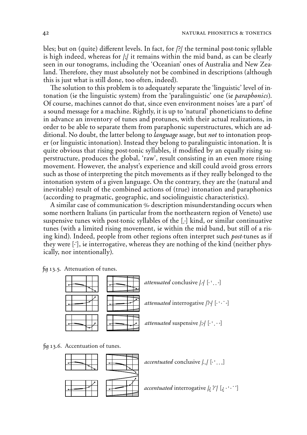bles; but on (quite) different levels. In fact, for  $\frac{1}{2}$  the terminal post-tonic syllable is high indeed, whereas for **/÷/** it remains within the mid band, as can be clearly seen in our tonograms, including the 'Oceanian' ones of Australia and New Zealand. Therefore, they must absolutely not be combined in descriptions (although this is just what is still done, too often, indeed).

The solution to this problem is to adequately separate the 'linguistic' level of intonation (*¤* the linguistic system) from the 'paralinguistic' one (*¤ paraphonics*). Of course, machines cannot do that, since even environment noises 'are a part' of a sound message for a machine. Rightly, it is up to 'natural' phoneticians to define in advance an inventory of tunes and protunes, with their actual realizations, in order to be able to separate them from paraphonic superstructures, which are additional. No doubt, the latter belong to *language usage*, but *not* to intonation proper (or linguistic intonation). Instead they belong to paralinguistic intonation. It is quite obvious that rising post-tonic syllables, if modified by an equally rising superstructure, produces the global, 'raw', result consisting in an even more rising movement. However, the analyst's experience and skill could avoid gross errors such as those of interpreting the pitch movements as if they really belonged to the intonation system of a given language. On the contrary, they are the (natural and inevitable) result of the combined actions of (true) intonation and paraphonics (according to pragmatic, geographic, and sociolinguistic characteristics).

A similar case of communication  $\frac{1}{2}$  description misunderstanding occurs when some northern Italians (in particular from the northeastern region of Veneto) use suspensive tunes with post-tonic syllables of the [.] kind, or similar continuative tunes (with a limited rising movement, *ie* within the mid band, but still of a rising kind). Indeed, people from other regions often interpret such *post*-tunes as if they were  $[\cdot]$ , *ie* interrogative, whereas they are nothing of the kind (neither physically, nor intentionally).

*û* 13.5. Attenuation of tunes.





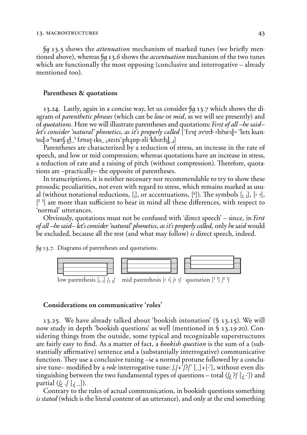fig 13.5 shows the *attenuation* mechanism of marked tunes (we briefly mentioned above), whereas fig 13.6 shows the *accentuation* mechanism of the two tunes which are functionally the most opposing (conclusive and interrogative  $-$  already mentioned too).

# Parentheses & quotations

13.24. Lastly, again in a concise way, let us consider fig 13.7 which shows the diagram of *parenthetic phrases* (which can be *low* or *mid*, as we will see presently) and of *quotations*. Here we will illustrate parentheses and quotations: First of all –he said– *let's consider 'natural' phonetics, as it's properly called* [ $\frac{1}{1}$ 3 st  $\frac{1}{1}$ y'or:  $\frac{1}{1}$   $\frac{1}{1}$   $\frac{1}{1}$   $\frac{1}{1}$   $\frac{1}{1}$   $\frac{1}{1}$   $\frac{1}{1}$   $\frac{1}{1}$   $\frac{1}{1}$   $\frac{1}{1}$   $\frac{1}{1}$   $\frac{1}{1}$   $\frac{1}{1}$ 'std-a  $[nat]$ - $[t_1, t_2$ 'n fa'n $[t_1, t_2, t_3]$  aztts phypp-ali 'khor $t_1, t_2$ 

Parentheses are characterized by a reduction of stress, an increase in the rate of speech, and low or mid compression; whereas quotations have an increase in stress, a reduction of rate and a raising of pitch (without compression). Therefore, quotations are –practically– the opposite of parentheses.

In transcriptions, it is neither necessary nor recommendable to try to show these prosodic peculiarities, not even with regard to stress, which remains marked as usual (without notational reductions, [,], or accentuations, ["]). The symbols  $[\cdot, \cdot]$ ,  $[\cdot, \cdot]$ , [[1] are more than sufficient to bear in mind all these differences, with respect to 'normal' utterances.

Obviously, quotations must not be confused with 'direct speech' – since, in First of all –he said– let's consider 'natural' phonetics, as it's properly called, only he said would be excluded, because all the rest (and what may follow) is direct speech, indeed.

fig 13.7. Diagrams of parentheses and quotations.



# Considerations on communicative 'roles'

13.25. We have already talked about 'bookish intonation' (§ 13.15). We will now study in depth 'bookish questions' as well (mentioned in § 13.19-20). Considering things from the outside, some typical and recognizable superstructures are fairly easy to find. As a matter of fact, a *bookish question* is the sum of a (substantially affirmative) sentence and a (substantially interrogative) communicative function. They use a conclusive tuning –ie a normal protune followed by a conclusive tune— modified by a *role* interrogative tune:  $\frac{1}{2}$   $\frac{1}{2}$   $\frac{1}{2}$   $\frac{1}{2}$   $\frac{1}{2}$   $\frac{1}{2}$ , without even distinguishing between the two fundamental types of questions – total ( $\ket{:}$ ?) and partial  $(|: \cdot| : ... |).$ 

Contrary to the rules of actual communication, in bookish questions something *is stated* (which is the literal content of an utterance), and only at the end something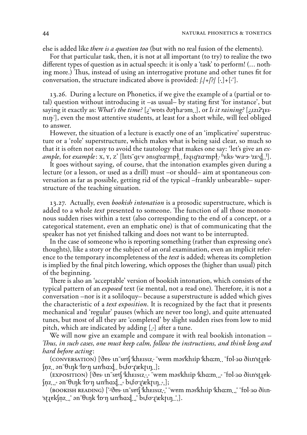else is added like *there is a question too* (but with no real fusion of the elements).

For that particular task, then, it is not at all important (to try) to realize the two different types of question as in actual speech: it is only a 'task' to perform!  $(\dots$  nothing more.) Thus, instead of using an interrogative protune and other tunes fit for conversation, the structure indicated above is provided:  $|.|+|?|$  [ $\cdot$ ] $+$ [ $\circ$ ].

13.26. During a lecture on Phonetics, if we give the example of a (partial or total) question without introducing it –as usual– by stating first 'for instance', but saying it exactly as: *∑at's the time?* **(¿5wØts ∑È'Tha;Ùm3 3)**, or *Is it raining?* **(¿&¤z¤ö'>™I**ntn<sup>.</sup>], even the most attentive students, at least for a short while, will feel obliged to answer.

However, the situation of a lecture is exactly one of an 'implicative' superstructure or a 'role' superstructure, which makes what is being said clear, so much so that it is often not easy to avoid the tautology that makes one say: 'let's give an *example*, for *example*: *x*, *y*, *z*' [lɛts<sup>-</sup>qưv ənɪq<sup>ı</sup>zarmp]. fə $\mu$ q<sup>ı</sup>zarmp]. <sup>[</sup>Eks· 'wa:o· 'zE'd..].

It goes without saying, of course, that the intonation examples given during a lecture (or a lesson, or used as a drill) must –or should– aim at spontaneous conversation as far as possible, getting rid of the typical –frankly unbearable– superstructure of the teaching situation.

13.27. Actually, even *bookish intonation* is a prosodic superstructure, which is added to a whole *text* presented to someone. The function of all those monotonous sudden rises within a text (also corresponding to the end of a concept, or a categorical statement, even an emphatic one) is that of communicating that the speaker has not yet finished talking and does not want to be interrupted.

In the case of someone who is reporting something (rather than expressing one's thoughts), like a story or the subject of an oral examination, even an implicit reference to the temporary incompleteness of the *text* is added; whereas its completion is implied by the final pitch lowering, which opposes the (higher than usual) pitch of the beginning.

There is also an 'acceptable' version of bookish intonation, which consists of the typical pattern of an *exposed* text (*ie* mental, not a read one). Therefore, it is not a conversation –nor is it a soliloquy– because a superstructure is added which gives the characteristic of a *text exposition*. It is recognized by the fact that it presents mechanical and 'regular' pauses (which are never too long), and quite attenuated tunes, but most of all they are 'completed' by slight sudden rises from low to mid pitch, which are indicated by adding [ $\cdot$ ] after a tune.

We will now give an example and compare it with real bookish intonation – *†us, in such cases, one must keep calm, follow the instructions, and think long and hard before acting\*

(conversation) <sup>['</sup>ðɐs· un<sup>-</sup>sɐt] 'kheɪsɪz.· -wɐm məs'khɪip 'khɑ:m.. <sup>-</sup>fɒl-30 ðiun'stˌɪɐk- $\frac{ln z}{2}$ ,  $\frac{ln \theta}{ln k}$ <sup>1</sup>*b*<sup>n</sup> *w*<sup>n</sup> $\frac{ln z}{2}$ , *b*<sub>4</sub>*fσ*<sub>1</sub><sup> $\frac{1}{2}$ *k*<sub>1</sub>*l*<sub>3</sub>*l*<sub>3</sub></sup>

(Exposition) ['ðɐs· un<sup>-</sup>sɐtʃ 'khɛɪsɪz.·.。<sup>-</sup>wɐm məs'khɪip 'khɑ:m...。<sup>-</sup>fɒl-30 ðiun'st̪ɪɐk- $\int nz_{\cdot\cdot\cdot}$  an<sup>-</sup>θιηk <sup>*l*</sup> b'η un'ha:d<sub>: ·</sub> bι<sub>t</sub>fσ·<sub>l</sub>'æktιη. · <sup>3</sup>];

(*BOOKISH READING*) [<sup>°</sup>⊌ðes· tn<sup>-</sup>set('kheistz.; <sup>°-</sup>wem məs<sup>i</sup>khip 'kha:m...° <sup>-</sup>fpl-30 ðitn-**'s˛>åkSóz3 3'» Èn5†¤˙k 'lØ;˙** *û***n'hA:D3 3'» b¤&fø;>'πkT¤˙3 3»')**.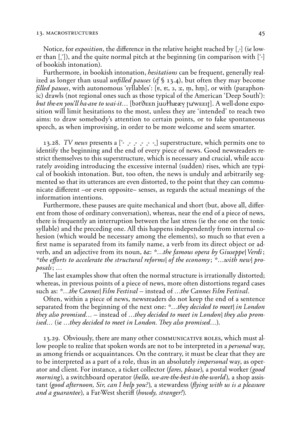#### 13. *macrostructures* 45

Notice, for *exposition*, the difference in the relative height reached by  $\lceil \cdot \rceil$  (*ie* lower than **('»)**), and the quite normal pitch at the beginning (in comparison with **(»")** of bookish intonation).

Furthermore, in bookish intonation, *hesitations* can be frequent, generally realized as longer than usual *unfilled pauses* (*c*f § 13.4), but often they may become *filled pauses*, with autonomous 'syllables': [e, ex, 3, 3, m, hm], or with (paraphonic) drawls (not regional ones such as those typical of the American 'Deep South'): *but the-en you'll ha-ave to wai-it...* [bət'ðɛɛn juʊł'hææy tu'wEɛɪt]. A well-done exposition will limit hesitations to the most, unless they are 'intended' to reach two aims: to draw somebody's attention to certain points, or to fake spontaneous speech, as when improvising, in order to be more welcome and seem smarter.

13.28. *TV news* presents a  $[$ <sup>°</sup>  $\cdot$   $\cdot$   $\cdot$   $\cdot$   $\cdot$   $\cdot$  superstructure, which permits one to identify the beginning and the end of every piece of news. Good newsreaders restrict themselves to this superstructure, which is necessary and crucial, while accurately avoiding introducing the excessive internal (sudden) rises, which are typical of bookish intonation. But, too often, the news is unduly and arbitrarily segmented so that its utterances are even distorted, to the point that they can communicate different –or even opposite– senses, as regards the actual meanings of the information intentions.

Furthermore, these pauses are quite mechanical and short (but, above all, different from those of ordinary conversation), whereas, near the end of a piece of news, there is frequently an interruption between the last stress (*¤* the one on the tonic syllable) and the preceding one. All this happens independently from internal cohesion (which would be necessary among the elements), so much so that even a first name is separated from its family name, a verb from its direct object or adverb, and an adjective from its noun, &c: *\*…the famous opera by Giuseppe\ Verdi*; *\*the e‡orts to accelerate the structural reforms\ of the economy÷ \*…with new\ proposals÷ …*

The last examples show that often the normal structure is irrationally distorted; whereas, in previous points of a piece of news, more often distortions regard cases such as: *\*…the Cannes\* "*lm Festival –* instead of *…the Cannes* "*lm Festival*.

Often, within a piece of news, newsreaders do not keep the end of a sentence separated from the beginning of the next one: *\*…they decided to meet\ in London they also promised…* – instead of *…they decided to meet in London\ they also promised…* (*¤ …they decided to meet in London. †ey also promised…*).

13.29. Obviously, there are many other *communicative roles*, which must allow people to realize that spoken words are not to be interpreted in a *personal* way, as among friends or acquaintances. On the contrary, it must be clear that they are to be interpreted as a part of a role, thus in an absolutely *impersonal* way, as operator and client. For instance, a ticket collector *(fares, please)*, a postal worker *(good morning*), a switchboard operator *(hello, we-are-the-best-in-the-world*), a shop assistant *(good afternoon, Sir, can I help you?)*, a stewardess *(flying with us is a pleasure and a guarantee*), a Far-West sheriff (howdy, stranger!).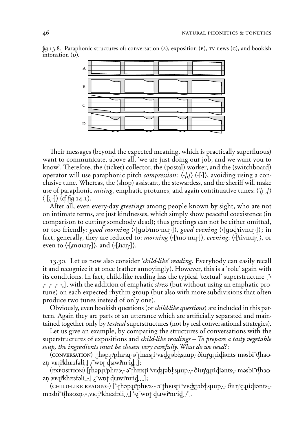fig 13.8. Paraphonic structures of: conversation (A), exposition (B), TV news (C), and bookish  $int$ onation  $(p)$ .



Their messages (beyond the expected meaning, which is practically superfluous) want to communicate, above all, 'we are just doing our job, and we want you to know'. Therefore, the (ticket) collector, the (postal) worker, and the (switchboard) operator will use paraphonic pitch *compression\ §***"/,/***@ §***"(2)***@*, avoiding using a conclusive tune. Whereas, the (shop) assistant, the stewardess, and the sheriff will make use of paraphonic *raising*, emphatic protunes, and again continuative tunes: *§***»/˚ ,/***@*  $\langle$ <sup>°</sup> $\langle$ <sub>i</sub>, ·] $\rangle$  (cf fig 14.1).

After all, even every-day *greetings* among people known by sight, who are not on intimate terms, are just kindnesses, which simply show peaceful coexistence (in comparison to cutting somebody dead); thus greetings can not be either omitted, or too friendly: *good morning*  $\langle \{q \cdot [\text{qob} \text{m} \sigma \text{m} \cdot \text{n}] \rangle$ *, good evening*  $\langle \{q \cdot [\text{q} \cdot \text{q} \cdot \text{q} \cdot \text{n} \cdot \text{n} \cdot \text{n} \cdot \text{n} \cdot \text{n} \cdot \text{n} \cdot \text{n} \cdot \text{n} \cdot \text{n} \cdot \text{n}$ fact, generally, they are reduced to: *morning*  $\langle \text{['mornin']}\rangle$ *, evening*:  $\langle \text{['rivnn']}\rangle$ *,* or even to  $\langle \cdot | \text{mod } q \rangle$ , and  $\langle \cdot | \text{sim } q \rangle$ .

13.30. Let us now also consider *'child-like' reading*. Everybody can easily recall it and recognize it at once (rather annoyingly). However, this is a 'role' again with its conditions. In fact, child-like reading has the typical 'textual' superstructure **(»" "**  $\cdot$   $\cdot$   $\cdot$   $\cdot$   $\cdot$   $\cdot$   $\cdot$ , with the addition of emphatic *stress* (but without using an emphatic protune) on each expected rhythm group (but also with more subdivisions that often produce two tunes instead of only one).

Obviously, even bookish questions (or *child-like questions*) are included in this pattern. Again they are parts of an utterance which are artificially separated and maintained together only by *textual* superstructures (not by real conversational strategies).

Let us give an example, by comparing the structures of conversations with the superstructures of expositions and *child-like readings* – *To prepare a tasty vegetable soup, the ingredients must be chosen very carefully.* What do we need?:

(CONVERSATION) [thəp.1tphE31. ə<sup>-</sup>thE1sti 'vEcktəbisµup. diun'q.11idiənts. məsbi<sup>-t</sup>ih30**zó &v™>i'kh™'fÈli33| ¿5wØT D***û***wi'nI;ifl33)÷**

(*exposition*) **(ThÈp>¤'ph™;'2'" È5Th™IsTi 'v™äTÈb®&s¯up32'" ∑i¤˙'g>IiDiÈnts2'" mÈsbi5ch'¨ zó &v™>i'kh™'fÈli33"'| ¿5wØT D***û***wi'nI;ifl33"')÷**

(*child-like reading*) **(»"ThÈp>¤"ph™;'2'" È8Th™IsTi "v™äTÈb®&s¯up32'" ∑i¤˙"g>IiDiÈnts2'" mÈsbi8ch'¨zó2'" &v™>i"kh™'fÈli3 3"'| »"¿5wØT D***û***wi"nI;ifl3 3"»).**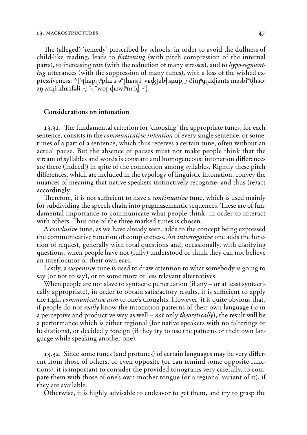#### 13. MACROSTRUCTURES

The (alleged) 'remedy' prescribed by schools, in order to avoid the dullness of child-like reading, leads to *flattening* (with pitch compression of the internal parts), to increasing *rate* (with the reduction of many stresses), and to *hypo-segmenting* utterances (with the suppression of many tunes), with a loss of the wished expressiveness:  $\cdot$ <sup>[</sup> thap1<sup>u</sup>phe 3 a<sup>=</sup>theisti "vec<sub>kt</sub>abl<sub>i</sub> suup. Mun" quidiants masbi<sup>=t</sup>(h30zn ve ji khesfəli. [buvi vor duwi nrid. [buvi].

# Considerations on intonation

13.31. The fundamental criterion for 'choosing' the appropriate tunes, for each sentence, consists in the *communicative intention* of every single sentence, or sometimes of a part of a sentence, which thus receives a certain tune, often without an actual pause. But the absence of pauses must not make people think that the stream of syllables and words is constant and homogeneous: intonation differences are there (indeed!) in spite of the connection among syllables. Rightly these pitch differences, which are included in the typology of linguistic intonation, convey the nuances of meaning that native speakers instinctively recognize, and thus (re) act accordingly.

Therefore, it is not sufficient to have a *continuative* tune, which is used mainly for subdividing the speech chain into pragmasemantic sequences. These are of fundamental importance to communicate what people think, in order to interact with others. Thus one of the three marked tunes is chosen.

A *conclusive* tune, as we have already seen, adds to the concept being expressed the communicative function of completeness. An *interrogative* one adds the function of request, generally with total questions and, occasionally, with clarifying questions, when people have not (fully) understood or think they can not believe an interlocutor or their own ears.

Lastly, a *suspensive* tune is used to draw attention to what somebody is going to say (or not to say), or to some more or less relevant alternatives.

When people are not slave to syntactic punctuation (if any  $-$  or at least syntactically appropriate), in order to obtain satisfactory results, it is sufficient to apply the right *communicative aim* to one's thoughts. However, it is quite obvious that, if people do not *really* know the intonation patterns of their own language (ie in a perceptive and productive way as well – *not* only *theoretically*), the result will be a performance which is either regional (for native speakers with no falterings or hesitations), or decidedly foreign (if they try to use the patterns of their own language while speaking another one).

13.32. Since some tunes (and protunes) of certain languages may be very different from those of others, or even opposite (or can remind some opposite functions), it is important to consider the provided tonograms very carefully, to compare them with those of one's own mother tongue (or a regional variant of it), if they are available.

Otherwise, it is highly advisable to endeavor to get them, and try to grasp the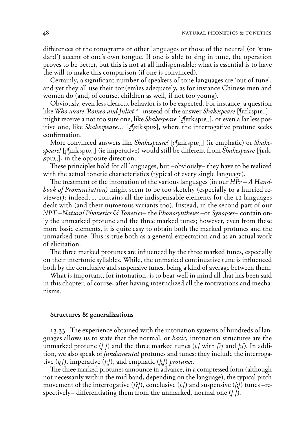differences of the tonograms of other languages or those of the neutral (or 'standard') accent of one's own tongue. If one is able to sing in tune, the operation proves to be better, but this is not at all indispensable: what is essential is to have the will to make this comparison (if one is convinced).

Certainly, a significant number of speakers of tone languages are 'out of tune', and yet they all use their ton(em)es adequately, as for instance Chinese men and women do (and, of course, children as well, if not too young).

Obviously, even less clearcut behavior is to be expected. For instance, a question like *Who wrote 'Romeo and Juliet'?* –instead of the answer *Shakespeare* ['{EIk<sub>i</sub>spue..]– might receive a not too sure one, like *Shakespeare* [¿'(EIk, spue...], or even a far less positive one, like *Shakespeare…* **(¿'S™Ik&sp¤å2)**, where the interrogative protune seeks confirmation.

More convinced answers like *Shakespeare!* [¡"(EIk<sub>i</sub>spue..] (*ie* emphatic) or *Shakespeare!* [¡"(EIk<sub>i</sub>spue..] (*ie* imperative) would still be different from *Shakespeare* ['(EIk-**&sp¤å3 3)**, in the opposite direction.

These principles hold for all languages, but –obviously– they have to be realized with the actual tonetic characteristics (typical of every single language).

The treatment of the intonation of the various languages (in our *HPr – A Handbook of Pronunciation)* might seem to be too sketchy (especially to a hurried reviewer); indeed, it contains all the indispensable elements for the 12 languages dealt with (and their numerous variants too). Instead, in the second part of our *NPT –Natural Phonetics " Tonetics–* the *Phonosyntheses* –or *Synopses*– contain only the unmarked protune and the three marked tunes; however, even from these more basic elements, it is quite easy to obtain both the marked protunes and the unmarked tune. This is true both as a general expectation and as an actual work of elicitation.

The three marked protunes are influenced by the three marked tunes, especially on their intertonic syllables. While, the unmarked continuative tune is influenced both by the conclusive and suspensive tunes, being a kind of average between them.

What is important, for intonation, is to bear well in mind all that has been said in this chapter, of course, after having internalized all the motivations and mechanisms.

### Structures & generalizations

13.33. *˛*e experience obtained with the intonation systems of hundreds of languages allows us to state that the normal, or *basic*, intonation structures are the unmarked protune (**/ /**) and the three marked tunes (**/./** with **/?/** and **/÷/**). In addition, we also speak of *fundamental* protunes and tunes: they include the interrogative (**/¿/**), imperative (**/¡/**), and emphatic (**/˚/**) *protunes*.

The three marked protunes announce in advance, in a compressed form (although not necessarily within the mid band, depending on the language), the typical pitch movement of the interrogative (**/?/**), conclusive (**/./**) and suspensive (**/÷/**) tunes –respectively– differentiating them from the unmarked, normal one (/ /).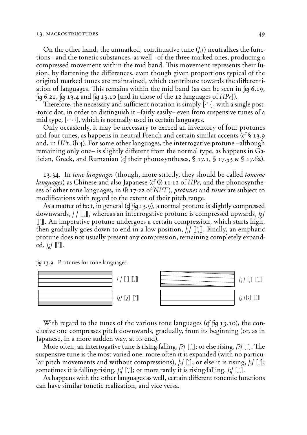#### 13. *macrostructures* 49

On the other hand, the unmarked, continuative tune (**/,/**) neutralizes the functions –and the tonetic substances, as well– of the three marked ones, producing a compressed movement within the mid band. This movement represents their fusion, by flattening the differences, even though given proportions typical of the original marked tunes are maintained, which contribute towards the differentiation of languages. *˛*is remains within the mid band (as can be seen in *û* 6.19, *û* 6.21, *û* 13.4 and *û* 13.10 {and in those of the 12 languages of *HPr*}).

Therefore, the necessary and sufficient notation is simply [ $\cdot \cdot \cdot$ ], with a single post--tonic dot, in order to distinguish it –fairly easily– even from suspensive tunes of a mid type,  $[\cdot \cdot \cdot]$ , which is normally used in certain languages.

Only occasionly, it may be necessary to exceed an inventory of four protunes and four tunes, as happens in neutral French and certain similar accents (*d* § 13.9 and, in *HPr*, *é* 4). For some other languages, the interrogative protune –although remaining only one- is slightly different from the normal type, as happens in Galician, Greek, and Rumanian (*c*f their phonosyntheses, § 17.1, § 17.53 & § 17.62).

13.34. In *tone languages* (though, more strictly, they should be called *toneme languages*) as Chinese and also Japanese (*Ô é* 11-12 of *HPr*, and the phonosyntheses of other tone languages, in *é* 17-22 of *NPT]˚ protunes* and *tunes* are subject to modifications with regard to the extent of their pitch range.

As a matter of fact, in general (*Ô û* 13.9), a normal protune is slightly compressed downwards, **/ / (('))**, whereas an interrogative protune is compressed upwards, **/¿/ ((»))**. An imperative protune undergoes a certain compression, which starts high, then gradually goes down to end in a low position, /i/ [[°<sub>○</sub>]]. Finally, an emphatic protune does not usually present any compression, remaining completely expanded,  $\frac{1}{\lambda}$   $\begin{bmatrix} \frac{\delta}{\lambda} \end{bmatrix}$ .

*û* 13.9. Protunes for tone languages.



©th regard to the tunes of the various tone languages (*Ô û* 13.10), the conclusive one compresses pitch downwards, gradually, from its beginning (or, as in Japanese, in a more sudden way, at its end).

More often, an interrogative tune is rising-falling,  $\frac{?}{'}$  [...]; or else rising,  $\frac{?}{'}$  [...]. The suspensive tune is the most varied one: more often it is expanded (with no particular pitch movements and without compressions),  $\frac{1}{2}$  [*^*]; or else it is rising,  $\frac{1}{2}$  [*^*]; sometimes it is falling-rising,  $\frac{1}{2}$  [: ]; or more rarely it is rising-falling,  $\frac{1}{2}$  [: ].

As happens with the other languages as well, certain different tonemic functions can have similar tonetic realization, and vice versa.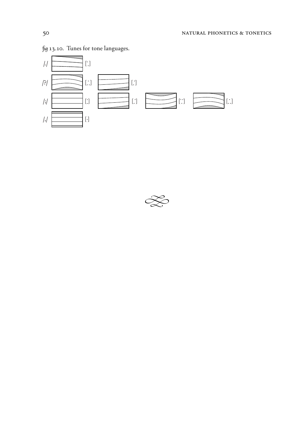

fig 13.10. Tunes for tone languages.

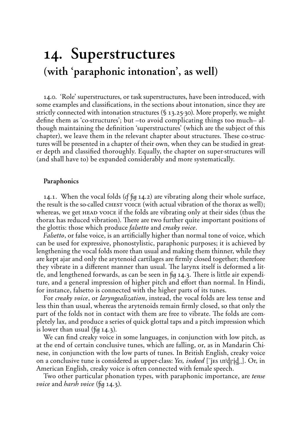# 14. Superstructures (with 'paraphonic intonation', as well)

14.0. 'Role' superstructures, or task superstructures, have been introduced, with some examples and classifications, in the sections about intonation, since they are strictly connected with intonation structures (§ 13.25-30). More properly, we might define them as 'co-structures'; but –to avoid complicating things too much– although maintaining the definition 'superstructures' (which are the subject of this chapter), we leave them in the relevant chapter about structures. These co-structures will be presented in a chapter of their own, when they can be studied in greater depth and classified thoroughly. Equally, the chapter on super-structures will (and shall have to) be expanded considerably and more systematically.

# Paraphonics

14.1. When the vocal folds (*c*f fig 14.2) are vibrating along their whole surface, the result is the so-called *chest voice* (with actual vibration of the thorax as well); whereas, we get *head voice* if the folds are vibrating only at their sides (thus the thorax has reduced vibration). There are two further quite important positions of the glottis: those which produce *falsetto* and *creaky voice*.

*Falsetto*, or false voice, is an artificially higher than normal tone of voice, which can be used for expressive, phonostylistic, paraphonic purposes; it is achieved by lengthening the vocal folds more than usual and making them thinner, while they are kept ajar and only the arytenoid cartilages are firmly closed together; therefore they vibrate in a different manner than usual. The larynx itself is deformed a little, and lengthened forwards, as can be seen in *fig* 14.3. There is little air expenditure, and a general impression of higher pitch and effort than normal. In Hindi, for instance, falsetto is connected with the higher parts of its tunes.

For *creaky voice*, or *laryngealization*, instead, the vocal folds are less tense and less thin than usual, whereas the arytenoids remain firmly closed, so that only the part of the folds not in contact with them are free to vibrate. The folds are completely lax, and produce a series of quick glottal taps and a pitch impression which is lower than usual (*û* 14.3).

We can find creaky voice in some languages, in conjunction with low pitch, as at the end of certain conclusive tunes, which are falling, or, as in Mandarin Chinese, in conjunction with the low parts of tunes. In British English, creaky voice on a conclusive tune is considered as upper-class: *Yes, indeed* [ $\tilde{\text{I}}$ jes un'dɪ̯id..]. Or, in American English, creaky voice is often connected with female speech.

Two other particular phonation types, with paraphonic importance, are *tense voice* and *harsh voice* (*û* 14.3).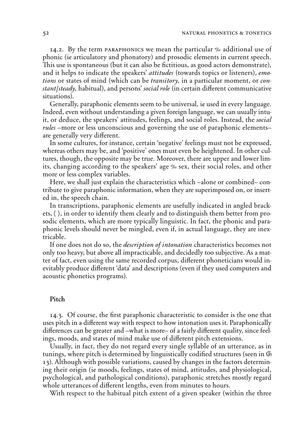14.2. By the term *paraphonics* we mean the particular *—* additional use of phonic (*¤* articulatory and phonatory) and prosodic elements in current speech. This use is spontaneous (but it can also be fictitious, as good actors demonstrate), and it helps to indicate the speakers' *attitudes* (towards topics or listeners), *emotions* or states of mind (which can be *transitory*, in a particular moment, or *constant*/*steady*, habitual), and persons' *social role* (in certain different communicative situations).

Generally, paraphonic elements seem to be universal, *ie* used in every language. Indeed, even without understanding a given foreign language, we can usually intuit, or deduce, the speakers' attitudes, feelings, and social roles. Instead, the *social rules* –more or less unconscious and governing the use of paraphonic elements– are generally very different.

In some cultures, for instance, certain 'negative' feelings must not be expressed, whereas others may be, and 'positive' ones must even be heightened. In other cultures, though, the opposite may be true. Moreover, there are upper and lower limits, changing according to the speakers' age  $\frac{1}{2}$  sex, their social roles, and other more or less complex variables.

Here, we shall just explain the characteristics which –alone or combined– contribute to give paraphonic information, when they are superimposed on, or inserted in, the speech chain.

In transcriptions, paraphonic elements are usefully indicated in angled brackets,  $\langle \ \rangle$ , in order to identify them clearly and to distinguish them better from prosodic elements, which are more typically linguistic. In fact, the phonic and paraphonic levels should never be mingled, even if, in actual language, they are inextricable.

If one does not do so, the *description of intonation* characteristics becomes not only too heavy, but above all impracticable, and decidedly too subjective. As a matter of fact, even using the same recorded corpus, different phoneticians would inevitably produce different 'data' and descriptions (even if they used computers and acoustic phonetics programs).

# Pitch

14.3. Of course, the first paraphonic characteristic to consider is the one that uses pitch in a different way with respect to how intonation uses it. Paraphonically differences can be greater and –what is more– of a fairly different quality, since feelings, moods, and states of mind make use of different pitch extensions.

Usually, in fact, they do not regard every single syllable of an utterance, as in tunings, where pitch is determined by linguistically codified structures (seen in *é* 13). Although with possible variations, caused by changes in the factors determining their origin (*¤* moods, feelings, states of mind, attitudes, and physiological, psychological, and pathological conditions), paraphonic stretches mostly regard whole utterances of different lengths, even from minutes to hours.

With respect to the habitual pitch extent of a given speaker (within the three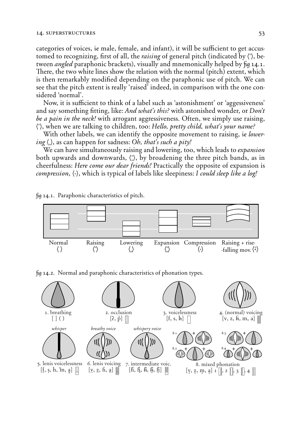categories of voices, ie male, female, and infant), it will be sufficient to get accustomed to recognizing, first of all, the *raising* of general pitch (indicated by  $\langle \cdot \rangle$ , between *angled* paraphonic brackets), visually and mnemonically helped by fig 14.1. There, the two white lines show the relation with the normal (pitch) extent, which is then remarkably modified depending on the paraphonic use of pitch. We can see that the pitch extent is really 'raised' indeed, in comparison with the one considered 'normal'.

Now, it is sufficient to think of a label such as 'astonishment' or 'aggessiveness' and say something fitting, like: And what's this? with astonished wonder, or Don't be a pain in the neck! with arrogant aggressiveness. Often, we simply use raising,  $\langle \hat{\ } \rangle$ , when we are talking to children, too: Hello, pretty child, what's your name?

With other labels, we can identify the opposite movement to raising, ie lower*ing*  $\langle \rangle$ , as can happen for sadness: O*h*, that's such a pity!

We can have simultaneously raising and lowering, too, which leads to *expansion* both upwards and downwards,  $\langle \cdot \rangle$ , by broadening the three pitch bands, as in cheerfulness: Here come our dear friends! Practically the opposite of expansion is *compression*,  $\langle \cdot \rangle$ , which is typical of labels like sleepiness: I could sleep like a log!

fig 14.1. Paraphonic characteristics of pitch.



fig 14.2. Normal and paraphonic characteristics of phonation types.

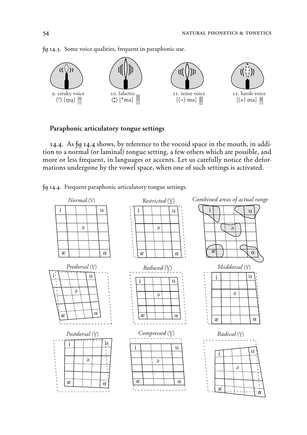

*û* 14.3. Some voice qualities, frequent in paraphonic use.

# Paraphonic articulatory tongue settings

14.4. As *û* 14.4 shows, by reference to the vocoid space in the mouth, in addition to a normal (or laminal) tongue setting, a few others which are possible, and more or less frequent, in languages or accents. Let us carefully notice the deformations undergone by the vowel space, when one of such settings is activated.



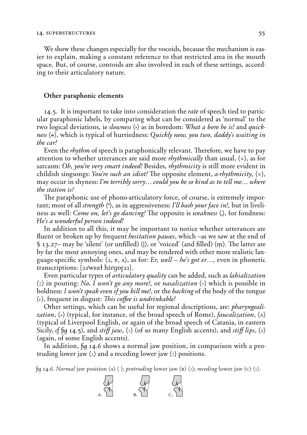#### 14. *superstructures* 55

We show these changes especially for the vocoids, because the mechanism is easier to explain, making a constant reference to that restricted area in the mouth space. But, of course, contoids are also involved in each of these settings, according to their articulatory nature.

# Other paraphonic elements

14.5. It is important to take into consideration the *rate* of speech tied to particular paraphonic labels, by comparing what can be considered as 'normal' to the two logical deviations, *ie slowness*  $\langle \cdot \rangle$  as in boredom: *What a bore he is!* and *quickness*  $\langle \cdot \rangle$ , which is typical of hurriedness: Quickly now, you two, daddy's waiting in *the car!*

Even the *rhythm* of speech is paraphonically relevant. Therefore, we have to pay attention to whether utterances are said more *rhythmically* than usual,  $\langle z \rangle$ , as for sarcasm: *Oh, you're very smart indeed!* Besides, *rhythmicity* is still more evident in childish singsongs: *You're such an idiot!* The opposite element, *a-rhythmicity*,  $\langle \approx \rangle$ , may occur in shyness: *I'm terribly sorry… could you be so kind as to tell me… where the station is?*

The paraphonic use of phono-articulatory force, of course, is extremely important; most of all *strength*  $\langle$ <sup>n</sup>), as in aggressiveness: *I'll bash your face in!*, but in liveliness as well: *Come on, let's go dancing!* The opposite is *weakness*  $\langle \rangle$ , for fondness: *He's a wonderful person indeed!*

In addition to all this, it may be important to notice whether utterances are fluent or broken up by frequent *hesitation pauses*, which –as we saw at the end of § 13.27– may be 'silent' (or unfilled) *§***|***@*, or 'voiced' (and filled) *§***õ***@*. *˛*e latter are by far the most annoying ones, and may be rendered with other more realistic language-specific symbols: *§***', å, √***@*, as for: *Er, well – he's got er…*, even in phonetic transcriptions: [33'wEE<sup>†</sup> hiz'qpt<sup>33</sup>].

Even particular types of *articulatory quality* can be added, such as *labialization §ê@* in pouting: *No, I won't go any more!˚* or *nasalization §***è***@* which is possible in boldness: *I won't speak even if you kill me!*, or the *backing* of the body of the tongue *§***#***@*, frequent in disgust: *†is co‡ee is undrinkable!*

Other settings, which can be useful for regional descriptions, are: *pharyngealization*,  $\langle \cdot \rangle$  (typical, for instance, of the broad speech of Rome), *faucalization*,  $\langle \cdot \rangle$ (typical of Liverpool English, or again of the broad speech of Catania, in eastern Sicily,  $f$  *f û* 14.5), and *stiff jaw*,  $\langle x \rangle$  (of so many English accents), and *stiff lips*,  $\langle x \rangle$ (again, of some English accents).

In addition, *û* 14.6 shows a normal jaw position, in comparison with a protruding lower jaw  $\langle x \rangle$  and a receding lower jaw  $\langle x \rangle$  positions.

 $\int$  fig 14.6. *Normal* jaw position (A)  $\langle \rangle$ ; *protruding* lower jaw (B)  $\langle \chi \rangle$ ; *receding* lower jaw (C)  $\langle \chi \rangle$ .

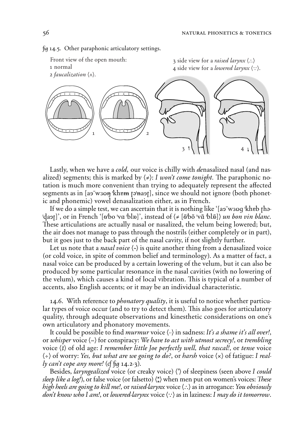

Lastly, when we have a *cold*, our voice is chilly with *de*nasalized nasal (and nasalized) segments; this is marked by  $\langle \star \rangle$ : *I won't come tonight*. The paraphonic notation is much more convenient than trying to adequately represent the affected segments as in  $[a\sigma\bar{w}$ <sup>3</sup> *x*<sup>3</sup> *x*<sup>3</sup> *kh*em  $[a\bar{w}$ <sup>*n*</sup><sub>1</sub> $a\bar{w}$ <sup>*n*</sup><sub>1</sub>, since we should not ignore (both phonetic and phonemic) vowel denasalization either, as in French.

If we do a simple test, we can ascertain that it is nothing like '[ao<sup>-</sup>w30q 'kheb th 'daət]', or in French '[@'bo 'va 'blx]', instead of  $\neq$  [@'bõ 'vã 'bl $\tilde{p}$ ]) *un bon vin blanc*. These articulations are actually nasal or nasalized, the velum being lowered; but, the air does not manage to pass through the nostrils (either completely or in part), but it goes just to the back part of the nasal cavity, if not slightly further.

Let us note that a *nasal voice*  $\langle \cdot \rangle$  is quite another thing from a denasalized voice (or cold voice, in spite of common belief and terminology). As a matter of fact, a nasal voice can be produced by a certain lowering of the velum, but it can also be produced by some particular resonance in the nasal cavities (with no lowering of the velum), which causes a kind of local vibration. This is typical of a number of accents, also English accents; or it may be an individual characteristic.

14.6. With reference to *phonatory quality*, it is useful to notice whether particular types of voice occur (and to try to detect them). This also goes for articulatory quality, through adequate observations and kinesthetic considerations on one's own articulatory and phonatory movements.

It could be possible to find *murmur* voice  $\langle \cdot \rangle$  in sadness: It's a shame it's all over!, or *whisper* voice *§***ÖÖ***@* for conspiracy: *We have to act with utmost secrecy!*, or *trembling* voice *§*õ*@* of old age: *I remember little Joe perfectly well, that rascal!*, or *tense* voice *§*÷*@* of worry: *Yes, but what are we going to do?*, or *harsh* voice *§*—*@* of fatigue: *I really can't cope any more!* (*Ô û* 14.2-3).

Besides, *laryngealized* voice (or creaky voice)  $\langle \rangle$  of sleepiness (seen above I could *sleep like a log!]*, or false voice (or falsetto) *§ï@* when men put on women's voices: *†ese high heels are going to kill me!*, or *raised-larynx* voice  $\langle \cdot \cdot \rangle$  as in arrogance: *You obviously don't know who I am!*, or *lowered-larynx* voice  $\langle \cdot \cdot \rangle$  as in laziness: *I may do it tomorrow*.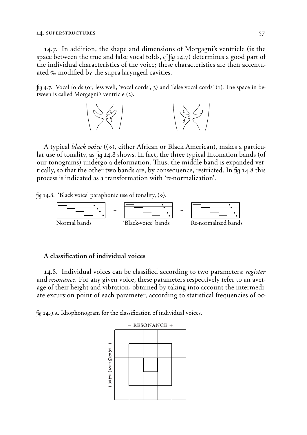14.7. In addition, the shape and dimensions of Morgagni's ventricle (*¤* the space between the true and false vocal folds, *of fig* 14.7) determines a good part of the individual characteristics of the voice; these characteristics are then accentuated  $\frac{1}{2}$  modified by the supra-laryngeal cavities.

*fig* 4.7. Vocal folds (or, less well, 'vocal cords', 3) and 'false vocal cords' (1). The space in between is called Morgagni's ventricle (2).



A typical *black voice* (*§***|***@*, either African or Black American), makes a particular use of tonality, as *fig* 14.8 shows. In fact, the three typical intonation bands (of our tonograms) undergo a deformation. Thus, the middle band is expanded vertically, so that the other two bands are, by consequence, restricted. In *û* 14.8 this process is indicated as a transformation with 're-normalization'.

*û* 14.8. 'Black voice' paraphonic use of tonality, *§***|***@*.



# A classification of individual voices

14.8. Individual voices can be classified according to two parameters: *register* and *resonance*. For any given voice, these parameters respectively refer to an average of their height and vibration, obtained by taking into account the intermediate excursion point of each parameter, according to statistical frequencies of oc-

fig 14.9.A. Idiophonogram for the classification of individual voices.

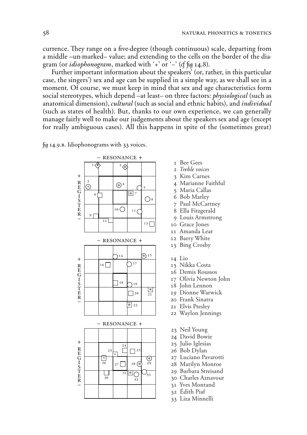currence. They range on a five-degree (though continuous) scale, departing from a middle -un-marked- value; and extending to the cells on the border of the diagram (or *idiophonogram*, marked with '+' or '-' (cf fig 14.8).

Further important information about the speakers' (or, rather, in this particular case, the singers') sex and age can be supplied in a simple way, as we shall see in a moment. Of course, we must keep in mind that sex and age characteristics form social stereotypes, which depend -at least- on three factors: *physiological* (such as anatomical dimension), *cultural* (such as social and ethnic habits), and *individual* (such as states of health). But, thanks to our own experience, we can generally manage fairly well to make our judgements about the speakers sex and age (except for really ambiguous cases). All this happens in spite of the (sometimes great)

fig 14.9.B. Idiophonograms with 33 voices.

 $58$ 

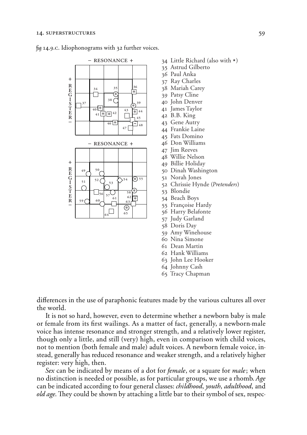fig 14.9.c. Idiophonograms with 32 further voices.



- 34 Little Richard (also with \*) 35 Astrud Gilberto 36 Paul Anka 37 Ray Charles 38 Mariah Carey 39 Patsy Cline 40 John Denver 41 James Taylor 42 B.B. King 43 Gene Autry 44 Frankie Laine 45 Fats Domino 46 Don Williams 47 Jim Reeves 48 Willie Nelson 49 Billie Holiday 50 Dinah Washington 51 Norah Jones 52 Chrissie Hynde (Pretenders) Blondie 53 54 Beach Boys 55 Françoise Hardy 56 Harry Belafonte 57 Judy Garland 58 Doris Day 59 Amy Winehouse
- 60 Nina Simone
- 61 Dean Martin
- 62 Hank Williams
- 63 John Lee Hooker
- 64 Johnny Cash
- 65 Tracy Chapman

differences in the use of paraphonic features made by the various cultures all over the world.

It is not so hard, however, even to determine whether a newborn baby is male or female from its first wailings. As a matter of fact, generally, a newborn-male voice has intense resonance and stronger strength, and a relatively lower register, though only a little, and still (very) high, even in comparison with child voices, not to mention (both female and male) adult voices. A newborn female voice, instead, generally has reduced resonance and weaker strength, and a relatively higher register: very high, then.

Sex can be indicated by means of a dot for *female*, or a square for *male*; when no distinction is needed or possible, as for particular groups, we use a rhomb. Age can be indicated according to four general classes: *childhood*, *youth*, *adulthood*, and *old age*. They could be shown by attaching a little bar to their symbol of sex, respec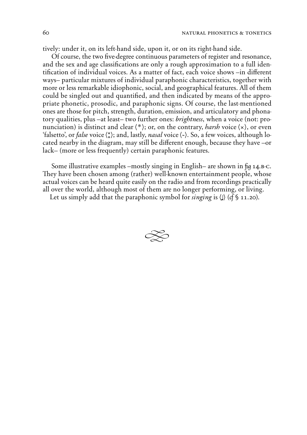tively: under it, on its left-hand side, upon it, or on its right-hand side.

Of course, the two five-degree continuous parameters of register and resonance, and the sex and age classifications are only a rough approximation to a full identification of individual voices. As a matter of fact, each voice shows –in different ways– particular mixtures of individual paraphonic characteristics, together with more or less remarkable idiophonic, social, and geographical features. All of them could be singled out and quantified, and then indicated by means of the appropriate phonetic, prosodic, and paraphonic signs. Of course, the last-mentioned ones are those for pitch, strength, duration, emission, and articulatory and phonatory qualities, plus –at least– two further ones: *brightness*, when a voice (not: pronunciation) is distinct and clear  $\langle * \rangle$ ; or, on the contrary, *harsh* voice  $\langle \times \rangle$ , or even 'falsetto', or *false* voice  $\langle\frac{*}{2}\rangle$ ; and, lastly, *nasal* voice  $\langle\sim\rangle$ . So, a few voices, although located nearby in the diagram, may still be different enough, because they have –or lack– (more or less frequently) certain paraphonic features.

Some illustrative examples –mostly singing in English– are shown in  $f\omega$  14. B-c. They have been chosen among (rather) well-known entertainment people, whose actual voices can be heard quite easily on the radio and from recordings practically all over the world, although most of them are no longer performing, or living.

Let us simply add that the paraphonic symbol for *singing* is  $\langle \}$  (*cf* § 11.20).

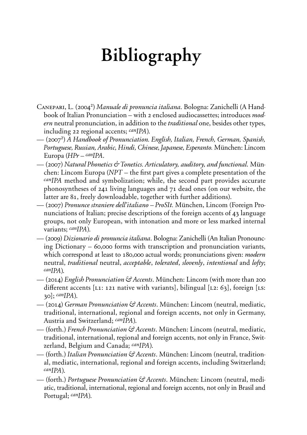# Bibliography

- Canepari, L. (2004") *Manuale di pronuncia italiana˘* Bologna: Zanichelli (A Handbook of Italian Pronunciation – with 2 enclosed audiocassettes; introduces *modern* neutral pronunciation, in addition to the *traditional* one, besides other types, including 22 regional accents; <sup>*can*</sup>*IPA*).
- *—* (2007") *A Handbook of Pronunciation. English, Italian, French, German, Spanish, Portuguese, Russian, Arabic, Hindi, Chinese, Japanese, Esperanto.* München: Lincom Europa (*HPr* – *canIPA*.
- $-$  (2007) *Natural Phonetics & Tonetics. Articulatory, auditory, and functional.* München: Lincom Europa (*NPT –* the first part gives a complete presentation of the *canIPA* method and symbolization; while, the second part provides accurate phonosyntheses of 241 living languages and 71 dead ones (on our website, the latter are 81, freely downloadable, together with further additions).
- (2007) *Pronunce straniere dell'italiano ProSIt.* München, Lincom (Foreign Pronunciations of Italian; precise descriptions of the foreign accents of 43 language groups, not only European, with intonation and more or less marked internal variants;  $\text{can}$ *IPA*).
- —(2009) *Dizionario di pronuncia italiana*. Bologna: Zanichelli (An Italian Pronouncing Dictionary – 60,000 forms with transcription and pronunciation variants, which correspond at least to 180,000 actual words; pronunciations given: *modern* neutral, *traditional* neutral, *acceptable*, *tolerated*, *slovenly*, *intentional* and *lofty*; *canIPA*).
- (2014) *English Pronunciation " Accents*. München: Lincom (with more than 200 different accents  $\left[11: 121 \text{ native with variants}\right]$ , bilingual  $\left[12: 63\right]$ , foreign  $\left[15: 121 \text{ native units}\right]$ 30];  $\text{can}$ *IPA*).
- (2014) *German Pronunciation " Accents*. München: Lincom (neutral, mediatic, traditional, international, regional and foreign accents, not only in Germany, Austria and Switzerland; <sup>can</sup>*IPA*).
- (forth.) *French Pronunciation " Accents*. München: Lincom (neutral, mediatic, traditional, international, regional and foreign accents, not only in France, Switzerland, Belgium and Canada; <sup>can</sup>*IPA*).
- (forth.) *Italian Pronunciation " Accents*. München: Lincom (neutral, traditional, mediatic, international, regional and foreign accents, including Switzerland; *canIPA*).
- (forth.) *Portuguese Pronunciation " Accents*. München: Lincom (neutral, mediatic, traditional, international, regional and foreign accents, not only in Brasil and Portugal; <sup>can</sup>*IPA*).